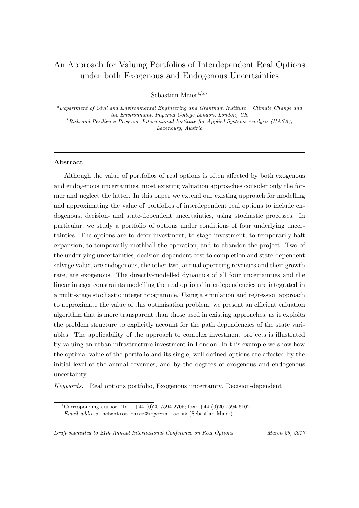# An Approach for Valuing Portfolios of Interdependent Real Options under both Exogenous and Endogenous Uncertainties

Sebastian Maiera,b,<sup>∗</sup>

 $a$ Department of Civil and Environmental Engineering and Grantham Institute – Climate Change and the Environment, Imperial College London, London, UK  $^{b}Risk$  and Resilience Program, International Institute for Applied Systems Analysis (IIASA), Laxenburg, Austria

# Abstract

Although the value of portfolios of real options is often affected by both exogenous and endogenous uncertainties, most existing valuation approaches consider only the former and neglect the latter. In this paper we extend our existing approach for modelling and approximating the value of portfolios of interdependent real options to include endogenous, decision- and state-dependent uncertainties, using stochastic processes. In particular, we study a portfolio of options under conditions of four underlying uncertainties. The options are to defer investment, to stage investment, to temporarily halt expansion, to temporarily mothball the operation, and to abandon the project. Two of the underlying uncertainties, decision-dependent cost to completion and state-dependent salvage value, are endogenous, the other two, annual operating revenues and their growth rate, are exogenous. The directly-modelled dynamics of all four uncertainties and the linear integer constraints modelling the real options' interdependencies are integrated in a multi-stage stochastic integer programme. Using a simulation and regression approach to approximate the value of this optimisation problem, we present an efficient valuation algorithm that is more transparent than those used in existing approaches, as it exploits the problem structure to explicitly account for the path dependencies of the state variables. The applicability of the approach to complex investment projects is illustrated by valuing an urban infrastructure investment in London. In this example we show how the optimal value of the portfolio and its single, well-defined options are affected by the initial level of the annual revenues, and by the degrees of exogenous and endogenous uncertainty.

Keywords: Real options portfolio, Exogenous uncertainty, Decision-dependent

<sup>\*</sup>Corresponding author. Tel.:  $+44$  (0)20 7594 2705; fax:  $+44$  (0)20 7594 6102. Email address: sebastian.maier@imperial.ac.uk (Sebastian Maier)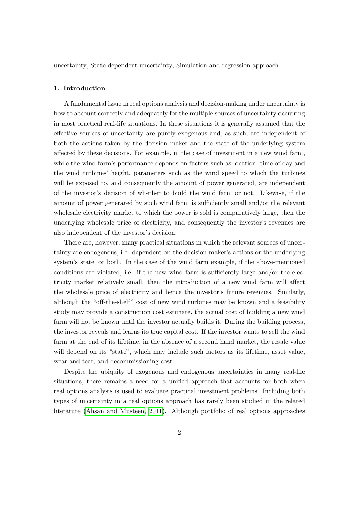uncertainty, State-dependent uncertainty, Simulation-and-regression approach

# 1. Introduction

A fundamental issue in real options analysis and decision-making under uncertainty is how to account correctly and adequately for the multiple sources of uncertainty occurring in most practical real-life situations. In these situations it is generally assumed that the effective sources of uncertainty are purely exogenous and, as such, are independent of both the actions taken by the decision maker and the state of the underlying system affected by these decisions. For example, in the case of investment in a new wind farm, while the wind farm's performance depends on factors such as location, time of day and the wind turbines' height, parameters such as the wind speed to which the turbines will be exposed to, and consequently the amount of power generated, are independent of the investor's decision of whether to build the wind farm or not. Likewise, if the amount of power generated by such wind farm is sufficiently small and/or the relevant wholesale electricity market to which the power is sold is comparatively large, then the underlying wholesale price of electricity, and consequently the investor's revenues are also independent of the investor's decision.

There are, however, many practical situations in which the relevant sources of uncertainty are endogenous, i.e. dependent on the decision maker's actions or the underlying system's state, or both. In the case of the wind farm example, if the above-mentioned conditions are violated, i.e. if the new wind farm is sufficiently large and/or the electricity market relatively small, then the introduction of a new wind farm will affect the wholesale price of electricity and hence the investor's future revenues. Similarly, although the "off-the-shelf" cost of new wind turbines may be known and a feasibility study may provide a construction cost estimate, the actual cost of building a new wind farm will not be known until the investor actually builds it. During the building process, the investor reveals and learns its true capital cost. If the investor wants to sell the wind farm at the end of its lifetime, in the absence of a second hand market, the resale value will depend on its "state", which may include such factors as its lifetime, asset value, wear and tear, and decommissioning cost.

Despite the ubiquity of exogenous and endogenous uncertainties in many real-life situations, there remains a need for a unified approach that accounts for both when real options analysis is used to evaluate practical investment problems. Including both types of uncertainty in a real options approach has rarely been studied in the related literature [\(Ahsan and Musteen, 2011\)](#page-27-0). Although portfolio of real options approaches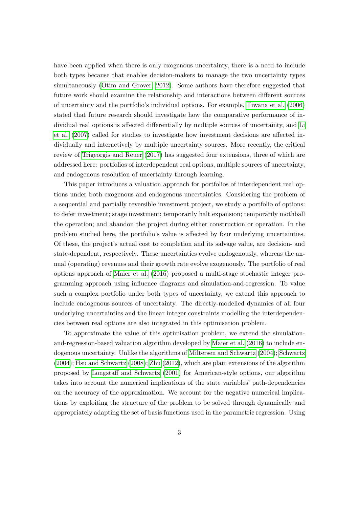have been applied when there is only exogenous uncertainty, there is a need to include both types because that enables decision-makers to manage the two uncertainty types simultaneously [\(Otim and Grover, 2012\)](#page-31-0). Some authors have therefore suggested that future work should examine the relationship and interactions between different sources of uncertainty and the portfolio's individual options. For example, [Tiwana et al.](#page-32-0) [\(2006\)](#page-32-0) stated that future research should investigate how the comparative performance of individual real options is affected differentially by multiple sources of uncertainty, and [Li](#page-30-0) [et al.](#page-30-0) [\(2007\)](#page-30-0) called for studies to investigate how investment decisions are affected individually and interactively by multiple uncertainty sources. More recently, the critical review of [Trigeorgis and Reuer](#page-32-1) [\(2017\)](#page-32-1) has suggested four extensions, three of which are addressed here: portfolios of interdependent real options, multiple sources of uncertainty, and endogenous resolution of uncertainty through learning.

This paper introduces a valuation approach for portfolios of interdependent real options under both exogenous and endogenous uncertainties. Considering the problem of a sequential and partially reversible investment project, we study a portfolio of options: to defer investment; stage investment; temporarily halt expansion; temporarily mothball the operation; and abandon the project during either construction or operation. In the problem studied here, the portfolio's value is affected by four underlying uncertainties. Of these, the project's actual cost to completion and its salvage value, are decision- and state-dependent, respectively. These uncertainties evolve endogenously, whereas the annual (operating) revenues and their growth rate evolve exogenously. The portfolio of real options approach of [Maier et al.](#page-30-1) [\(2016\)](#page-30-1) proposed a multi-stage stochastic integer programming approach using influence diagrams and simulation-and-regression. To value such a complex portfolio under both types of uncertainty, we extend this approach to include endogenous sources of uncertainty. The directly-modelled dynamics of all four underlying uncertainties and the linear integer constraints modelling the interdependencies between real options are also integrated in this optimisation problem.

To approximate the value of this optimisation problem, we extend the simulationand-regression-based valuation algorithm developed by [Maier et al.](#page-30-1) [\(2016\)](#page-30-1) to include endogenous uncertainty. Unlike the algorithms of [Miltersen and Schwartz](#page-31-1) [\(2004\)](#page-31-1); [Schwartz](#page-32-2) [\(2004\)](#page-32-2); [Hsu and Schwartz](#page-29-0) [\(2008\)](#page-29-0); [Zhu](#page-33-0) [\(2012\)](#page-33-0), which are plain extensions of the algorithm proposed by [Longstaff and Schwartz](#page-30-2) [\(2001\)](#page-30-2) for American-style options, our algorithm takes into account the numerical implications of the state variables' path-dependencies on the accuracy of the approximation. We account for the negative numerical implications by exploiting the structure of the problem to be solved through dynamically and appropriately adapting the set of basis functions used in the parametric regression. Using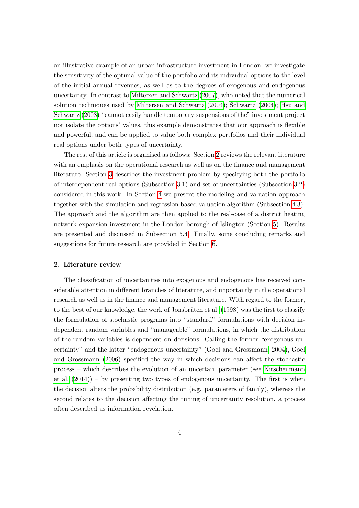an illustrative example of an urban infrastructure investment in London, we investigate the sensitivity of the optimal value of the portfolio and its individual options to the level of the initial annual revenues, as well as to the degrees of exogenous and endogenous uncertainty. In contrast to [Miltersen and Schwartz](#page-31-2) [\(2007\)](#page-31-2), who noted that the numerical solution techniques used by [Miltersen and Schwartz](#page-31-1) [\(2004\)](#page-31-1); [Schwartz](#page-32-2) [\(2004\)](#page-32-2); [Hsu and](#page-29-0) [Schwartz](#page-29-0) [\(2008\)](#page-29-0) "cannot easily handle temporary suspensions of the" investment project nor isolate the options' values, this example demonstrates that our approach is flexible and powerful, and can be applied to value both complex portfolios and their individual real options under both types of uncertainty.

The rest of this article is organised as follows: Section [2](#page-3-0) reviews the relevant literature with an emphasis on the operational research as well as on the finance and management literature. Section [3](#page-6-0) describes the investment problem by specifying both the portfolio of interdependent real options (Subsection [3.1\)](#page-6-1) and set of uncertainties (Subsection [3.2\)](#page-8-0) considered in this work. In Section [4](#page-9-0) we present the modeling and valuation approach together with the simulation-and-regression-based valuation algorithm (Subsection [4.3\)](#page-13-0). The approach and the algorithm are then applied to the real-case of a district heating network expansion investment in the London borough of Islington (Section [5\)](#page-16-0). Results are presented and discussed in Subsection [5.4.](#page-19-0) Finally, some concluding remarks and suggestions for future research are provided in Section [6.](#page-24-0)

## <span id="page-3-0"></span>2. Literature review

The classification of uncertainties into exogenous and endogenous has received considerable attention in different branches of literature, and importantly in the operational research as well as in the finance and management literature. With regard to the former, to the best of our knowledge, the work of Jonsbråten et al. [\(1998\)](#page-30-3) was the first to classify the formulation of stochastic programs into "standard" formulations with decision independent random variables and "manageable" formulations, in which the distribution of the random variables is dependent on decisions. Calling the former "exogenous uncertainty" and the latter "endogenous uncertainty" [\(Goel and Grossmann, 2004\)](#page-29-1), [Goel](#page-29-2) [and Grossmann](#page-29-2) [\(2006\)](#page-29-2) specified the way in which decisions can affect the stochastic process – which describes the evolution of an uncertain parameter (see [Kirschenmann](#page-30-4) [et al.](#page-30-4) [\(2014\)](#page-30-4)) – by presenting two types of endogenous uncertainty. The first is when the decision alters the probability distribution (e.g. parameters of family), whereas the second relates to the decision affecting the timing of uncertainty resolution, a process often described as information revelation.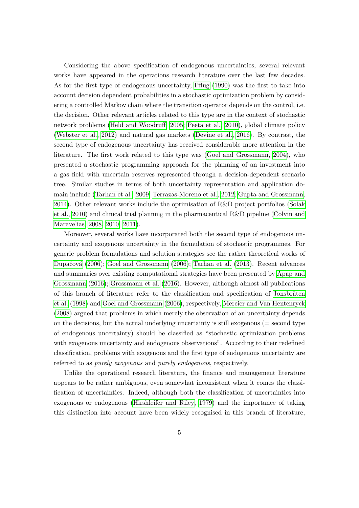Considering the above specification of endogenous uncertainties, several relevant works have appeared in the operations research literature over the last few decades. As for the first type of endogenous uncertainty, [Pflug](#page-31-3) [\(1990\)](#page-31-3) was the first to take into account decision dependent probabilities in a stochastic optimization problem by considering a controlled Markov chain where the transition operator depends on the control, i.e. the decision. Other relevant articles related to this type are in the context of stochastic network problems [\(Held and Woodruff, 2005;](#page-29-3) [Peeta et al., 2010\)](#page-31-4), global climate policy [\(Webster et al., 2012\)](#page-33-1) and natural gas markets [\(Devine et al., 2016\)](#page-28-0). By contrast, the second type of endogenous uncertainty has received considerable more attention in the literature. The first work related to this type was [\(Goel and Grossmann, 2004\)](#page-29-1), who presented a stochastic programming approach for the planning of an investment into a gas field with uncertain reserves represented through a decision-dependent scenario tree. Similar studies in terms of both uncertainty representation and application domain include [\(Tarhan et al., 2009;](#page-32-3) [Terrazas-Moreno et al., 2012;](#page-32-4) [Gupta and Grossmann,](#page-29-4) [2014\)](#page-29-4). Other relevant works include the optimisation of R&D project portfolios [\(Solak](#page-32-5) [et al., 2010\)](#page-32-5) and clinical trial planning in the pharmaceutical R&D pipeline [\(Colvin and](#page-28-1) [Maravelias, 2008,](#page-28-1) [2010,](#page-28-2) [2011\)](#page-28-3).

Moreover, several works have incorporated both the second type of endogenous uncertainty and exogenous uncertainty in the formulation of stochastic programmes. For generic problem formulations and solution strategies see the rather theoretical works of Dupačová [\(2006\)](#page-29-2); [Goel and Grossmann](#page-29-2) (2006); [Tarhan et al.](#page-32-6) [\(2013\)](#page-32-6). Recent advances and summaries over existing computational strategies have been presented by [Apap and](#page-28-4) [Grossmann](#page-28-4) [\(2016\)](#page-28-4); [Grossmann et al.](#page-29-6) [\(2016\)](#page-29-6). However, although almost all publications of this branch of literature refer to the classification and specification of Jonsbråten [et al.](#page-30-3) [\(1998\)](#page-30-3) and [Goel and Grossmann](#page-29-2) [\(2006\)](#page-29-2), respectively, [Mercier and Van Hentenryck](#page-30-5) [\(2008\)](#page-30-5) argued that problems in which merely the observation of an uncertainty depends on the decisions, but the actual underlying uncertainty is still exogenous  $(=$  second type of endogenous uncertainty) should be classified as "stochastic optimization problems with exogenous uncertainty and endogenous observations". According to their redefined classification, problems with exogenous and the first type of endogenous uncertainty are referred to as purely exogenous and purely endogenous, respectively.

Unlike the operational research literature, the finance and management literature appears to be rather ambiguous, even somewhat inconsistent when it comes the classification of uncertainties. Indeed, although both the classification of uncertainties into exogenous or endogenous [\(Hirshleifer and Riley, 1979\)](#page-29-7) and the importance of taking this distinction into account have been widely recognised in this branch of literature,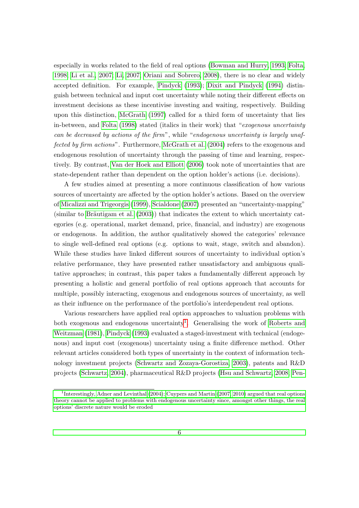especially in works related to the field of real options [\(Bowman and Hurry, 1993;](#page-28-5) [Folta,](#page-29-8) [1998;](#page-29-8) [Li et al., 2007;](#page-30-0) [Li, 2007;](#page-30-6) [Oriani and Sobrero, 2008\)](#page-31-5), there is no clear and widely accepted definition. For example, [Pindyck](#page-31-6) [\(1993\)](#page-31-6); [Dixit and Pindyck](#page-28-6) [\(1994\)](#page-28-6) distinguish between technical and input cost uncertainty while noting their different effects on investment decisions as these incentivise investing and waiting, respectively. Building upon this distinction, [McGrath](#page-30-7) [\(1997\)](#page-30-7) called for a third form of uncertainty that lies in-between, and [Folta](#page-29-8) [\(1998\)](#page-29-8) stated (italics in their work) that "exogenous uncertainty can be decreased by actions of the firm", while "endogenous uncertainty is largely unaffected by firm actions". Furthermore, [McGrath et al.](#page-30-8) [\(2004\)](#page-30-8) refers to the exogenous and endogenous resolution of uncertainty through the passing of time and learning, respectively. By contrast, [Van der Hoek and Elliott](#page-32-7) [\(2006\)](#page-32-7) took note of uncertainties that are state-dependent rather than dependent on the option holder's actions (i.e. decisions).

A few studies aimed at presenting a more continuous classification of how various sources of uncertainty are affected by the option holder's actions. Based on the overview of [Micalizzi and Trigeorgis](#page-30-9) [\(1999\)](#page-30-9), [Scialdone](#page-32-8) [\(2007\)](#page-32-8) presented an "uncertainty-mapping" (similar to Bräutigam et al.  $(2003)$ ) that indicates the extent to which uncertainty categories (e.g. operational, market demand, price, financial, and industry) are exogenous or endogenous. In addition, the author qualitatively showed the categories' relevance to single well-defined real options (e.g. options to wait, stage, switch and abandon). While these studies have linked different sources of uncertainty to individual option's relative performance, they have presented rather unsatisfactory and ambiguous qualitative approaches; in contrast, this paper takes a fundamentally different approach by presenting a holistic and general portfolio of real options approach that accounts for multiple, possibly interacting, exogenous and endogenous sources of uncertainty, as well as their influence on the performance of the portfolio's interdependent real options.

Various researchers have applied real option approaches to valuation problems with both exogenous and endogenous uncertainty<sup>[1](#page-5-0)</sup>. Generalising the work of [Roberts and](#page-31-7) [Weitzman](#page-31-7) [\(1981\)](#page-31-7), [Pindyck](#page-31-6) [\(1993\)](#page-31-6) evaluated a staged-investment with technical (endogenous) and input cost (exogenous) uncertainty using a finite difference method. Other relevant articles considered both types of uncertainty in the context of information technology investment projects [\(Schwartz and Zozaya-Gorostiza, 2003\)](#page-32-9), patents and R&D projects [\(Schwartz, 2004\)](#page-32-2), pharmaceutical R&D projects [\(Hsu and Schwartz, 2008;](#page-29-0) [Pen-](#page-31-8)

<span id="page-5-0"></span><sup>&</sup>lt;sup>1</sup>[Interestingly, Adner and Levinthal \(2004\); Cuypers and Martin \(2007, 2010\) argued that real options](#page-31-8) [theory cannot be applied to problems with endogenous uncertainty since, amongst other things, the real](#page-31-8) [options' discrete nature would be eroded](#page-31-8)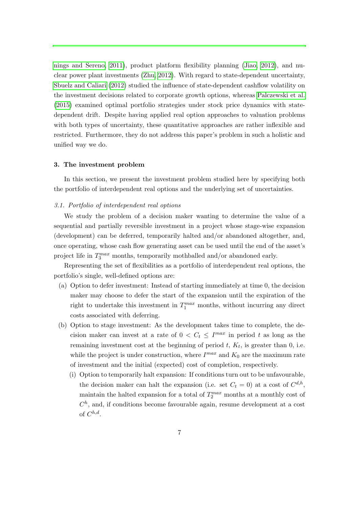[nings and Sereno, 2011\)](#page-31-8), product platform flexibility planning [\(Jiao, 2012\)](#page-30-10), and nuclear power plant investments [\(Zhu, 2012\)](#page-33-0). With regard to state-dependent uncertainty, [Sbuelz and Caliari](#page-31-9) [\(2012\)](#page-31-9) studied the influence of state-dependent cashflow volatility on the investment decisions related to corporate growth options, whereas [Palczewski et al.](#page-31-10) [\(2015\)](#page-31-10) examined optimal portfolio strategies under stock price dynamics with statedependent drift. Despite having applied real option approaches to valuation problems with both types of uncertainty, these quantitative approaches are rather inflexible and restricted. Furthermore, they do not address this paper's problem in such a holistic and unified way we do.

## <span id="page-6-0"></span>3. The investment problem

In this section, we present the investment problem studied here by specifying both the portfolio of interdependent real options and the underlying set of uncertainties.

## <span id="page-6-1"></span>3.1. Portfolio of interdependent real options

We study the problem of a decision maker wanting to determine the value of a sequential and partially reversible investment in a project whose stage-wise expansion (development) can be deferred, temporarily halted and/or abandoned altogether, and, once operating, whose cash flow generating asset can be used until the end of the asset's project life in  $T_3^{max}$  months, temporarily mothballed and/or abandoned early.

Representing the set of flexibilities as a portfolio of interdependent real options, the portfolio's single, well-defined options are:

- (a) Option to defer investment: Instead of starting immediately at time 0, the decision maker may choose to defer the start of the expansion until the expiration of the right to undertake this investment in  $T_1^{max}$  months, without incurring any direct costs associated with deferring.
- (b) Option to stage investment: As the development takes time to complete, the decision maker can invest at a rate of  $0 < C_t \leq I^{max}$  in period t as long as the remaining investment cost at the beginning of period  $t, K_t$ , is greater than 0, i.e. while the project is under construction, where  $I^{max}$  and  $K_0$  are the maximum rate of investment and the initial (expected) cost of completion, respectively.
	- (i) Option to temporarily halt expansion: If conditions turn out to be unfavourable, the decision maker can halt the expansion (i.e. set  $C_t = 0$ ) at a cost of  $C^{d,h}$ , maintain the halted expansion for a total of  $T_2^{max}$  months at a monthly cost of  $C<sup>h</sup>$ , and, if conditions become favourable again, resume development at a cost of  $C^{h,d}$ .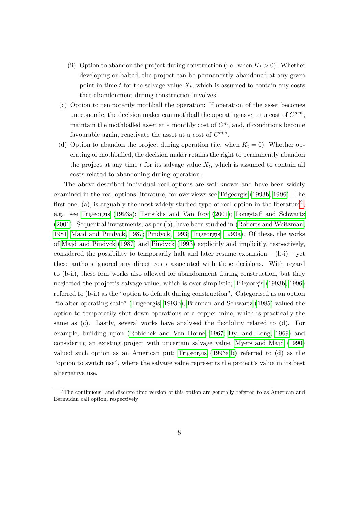- (ii) Option to abandon the project during construction (i.e. when  $K_t > 0$ ): Whether developing or halted, the project can be permanently abandoned at any given point in time  $t$  for the salvage value  $X_t$ , which is assumed to contain any costs that abandonment during construction involves.
- (c) Option to temporarily mothball the operation: If operation of the asset becomes uneconomic, the decision maker can mothball the operating asset at a cost of  $C^{o,m}$ , maintain the mothballed asset at a monthly cost of  $C<sup>m</sup>$ , and, if conditions become favourable again, reactivate the asset at a cost of  $C^{m,o}$ .
- (d) Option to abandon the project during operation (i.e. when  $K_t = 0$ ): Whether operating or mothballed, the decision maker retains the right to permanently abandon the project at any time  $t$  for its salvage value  $X_t$ , which is assumed to contain all costs related to abandoning during operation.

The above described individual real options are well-known and have been widely examined in the real options literature, for overviews see [Trigeorgis](#page-32-10) [\(1993b,](#page-32-10) [1996\)](#page-32-11). The first one, (a), is arguably the most-widely studied type of real option in the literature<sup>[2](#page-7-0)</sup>, e.g. see [Trigeorgis](#page-32-12) [\(1993a\)](#page-32-12); [Tsitsiklis and Van Roy](#page-32-13) [\(2001\)](#page-32-13); [Longstaff and Schwartz](#page-30-2) [\(2001\)](#page-30-2). Sequential investments, as per (b), have been studied in [\(Roberts and Weitzman,](#page-31-7) [1981;](#page-31-7) [Majd and Pindyck, 1987;](#page-30-11) [Pindyck, 1993;](#page-31-6) [Trigeorgis, 1993a\)](#page-32-12). Of these, the works of [Majd and Pindyck](#page-30-11) [\(1987\)](#page-30-11) and [Pindyck](#page-31-6) [\(1993\)](#page-31-6) explicitly and implicitly, respectively, considered the possibility to temporarily halt and later resume expansion  $-$  (b-i)  $-$  yet these authors ignored any direct costs associated with these decisions. With regard to (b-ii), these four works also allowed for abandonment during construction, but they neglected the project's salvage value, which is over-simplistic; [Trigeorgis](#page-32-10) [\(1993b,](#page-32-10) [1996\)](#page-32-11) referred to (b-ii) as the "option to default during construction". Categorised as an option "to alter operating scale" [\(Trigeorgis, 1993b\)](#page-32-10), [Brennan and Schwartz](#page-28-10) [\(1985\)](#page-28-10) valued the option to temporarily shut down operations of a copper mine, which is practically the same as (c). Lastly, several works have analysed the flexibility related to (d). For example, building upon [\(Robichek and Van Horne, 1967;](#page-31-11) [Dyl and Long, 1969\)](#page-29-9) and considering an existing project with uncertain salvage value, [Myers and Majd](#page-31-12) [\(1990\)](#page-31-12) valued such option as an American put; [Trigeorgis](#page-32-12) [\(1993a,](#page-32-12)[b\)](#page-32-10) referred to (d) as the "option to switch use", where the salvage value represents the project's value in its best alternative use.

<span id="page-7-0"></span><sup>&</sup>lt;sup>2</sup>The continuous- and discrete-time version of this option are generally referred to as American and Bermudan call option, respectively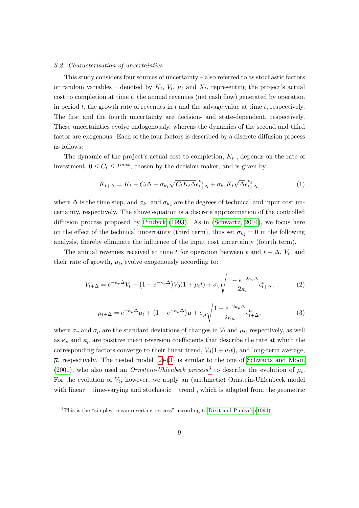#### <span id="page-8-0"></span>3.2. Characterisation of uncertainties

This study considers four sources of uncertainty – also referred to as stochastic factors or random variables – denoted by  $K_t$ ,  $V_t$ ,  $\mu_t$  and  $X_t$ , representing the project's actual cost to completion at time  $t$ , the annual revenues (net cash flow) generated by operation in period  $t$ , the growth rate of revenues in  $t$  and the salvage value at time  $t$ , respectively. The first and the fourth uncertainty are decision- and state-dependent, respectively. These uncertainties evolve endogenously, whereas the dynamics of the second and third factor are exogenous. Each of the four factors is described by a discrete diffusion process as follows:

The dynamic of the project's actual cost to completion,  $K_t$ , depends on the rate of investment,  $0 \leq C_t \leq I^{max}$ , chosen by the decision maker, and is given by:

<span id="page-8-4"></span>
$$
K_{t+\Delta} = K_t - C_t \Delta + \sigma_{k_1} \sqrt{C_t K_t \Delta} \epsilon_{t+\Delta}^{k_1} + \sigma_{k_2} K_t \sqrt{\Delta} \epsilon_{t+\Delta}^{k_2}, \tag{1}
$$

where  $\Delta$  is the time step, and  $\sigma_{k_1}$  and  $\sigma_{k_2}$  are the degrees of technical and input cost uncertainty, respectively. The above equation is a discrete approximation of the controlled diffusion process proposed by [Pindyck](#page-31-6) [\(1993\)](#page-31-6). As in [\(Schwartz, 2004\)](#page-32-2), we focus here on the effect of the technical uncertainty (third term), thus set  $\sigma_{k_2} = 0$  in the following analysis, thereby eliminate the influence of the input cost uncertainty (fourth term).

The annual revenues received at time t for operation between t and  $t + \Delta$ ,  $V_t$ , and their rate of growth,  $\mu_t$ , evolve exogenously according to:

<span id="page-8-1"></span>
$$
V_{t+\Delta} = e^{-\kappa_v \Delta} V_t + \left(1 - e^{-\kappa_v \Delta}\right) V_0 \left(1 + \mu_t t\right) + \sigma_v \sqrt{\frac{1 - e^{-2\kappa_v \Delta}}{2\kappa_v}} \epsilon_{t+\Delta}^v,\tag{2}
$$

<span id="page-8-2"></span>
$$
\mu_{t+\Delta} = e^{-\kappa_{\mu}\Delta}\mu_t + \left(1 - e^{-\kappa_{\mu}\Delta}\right)\overline{\mu} + \sigma_{\mu}\sqrt{\frac{1 - e^{-2\kappa_{\mu}\Delta}}{2\kappa_{\mu}}} \epsilon_{t+\Delta}^{\mu},\tag{3}
$$

where  $\sigma_v$  and  $\sigma_\mu$  are the standard deviations of changes in  $V_t$  and  $\mu_t$ , respectively, as well as  $\kappa_v$  and  $\kappa_\mu$  are positive mean reversion coefficients that describe the rate at which the corresponding factors converge to their linear trend,  $V_0(1 + \mu_t t)$ , and long-term average,  $\overline{\mu}$ , respectively. The nested model [\(2\)](#page-8-1)-[\(3\)](#page-8-2) is similar to the one of [Schwartz and Moon](#page-32-14) [\(2001\)](#page-32-14), who also used an *Ornstein-Uhlenbeck process*<sup>[3](#page-8-3)</sup> to describe the evolution of  $\mu_t$ . For the evolution of  $V_t$ , however, we apply an (arithmetic) Ornstein-Uhlenbeck model with linear – time-varying and stochastic – trend , which is adapted from the geometric

<span id="page-8-3"></span><sup>3</sup>This is the "simplest mean-reverting process" according to [Dixit and Pindyck](#page-28-6) [\(1994\)](#page-28-6)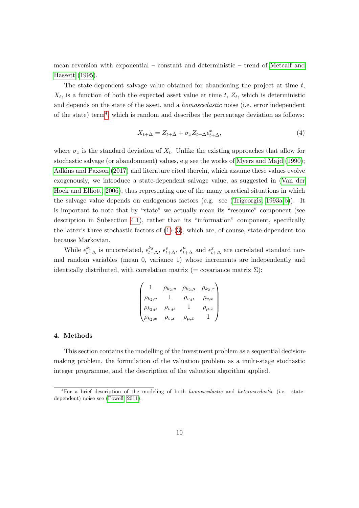mean reversion with exponential – constant and deterministic – trend of [Metcalf and](#page-30-12) [Hassett](#page-30-12) [\(1995\)](#page-30-12).

The state-dependent salvage value obtained for abandoning the project at time  $t$ ,  $X_t$ , is a function of both the expected asset value at time t,  $Z_t$ , which is deterministic and depends on the state of the asset, and a homoscedastic noise (i.e. error independent of the state) term<sup>[4](#page-9-1)</sup>, which is random and describes the percentage deviation as follows:

$$
X_{t+\Delta} = Z_{t+\Delta} + \sigma_x Z_{t+\Delta} \epsilon_{t+\Delta}^x,\tag{4}
$$

where  $\sigma_x$  is the standard deviation of  $X_t$ . Unlike the existing approaches that allow for stochastic salvage (or abandonment) values, e.g see the works of [Myers and Majd](#page-31-12) [\(1990\)](#page-31-12); [Adkins and Paxson](#page-27-2) [\(2017\)](#page-27-2) and literature cited therein, which assume these values evolve exogenously, we introduce a state-dependent salvage value, as suggested in [\(Van der](#page-32-7) [Hoek and Elliott, 2006\)](#page-32-7), thus representing one of the many practical situations in which the salvage value depends on endogenous factors (e.g. see [\(Trigeorgis, 1993a,](#page-32-12)[b\)](#page-32-10)). It is important to note that by "state" we actually mean its "resource" component (see description in Subsection [4.1\)](#page-10-0), rather than its "information" component, specifically the latter's three stochastic factors of  $(1)-(3)$  $(1)-(3)$  $(1)-(3)$ , which are, of course, state-dependent too because Markovian.

While  $\epsilon_{t+\Delta}^{k_1}$  is uncorrelated,  $\epsilon_{t+\Delta}^{k_2}$ ,  $\epsilon_{t+\Delta}^v$ ,  $\epsilon_{t+\Delta}^{\mu}$  and  $\epsilon_{t+\Delta}^x$  are correlated standard normal random variables (mean 0, variance 1) whose increments are independently and identically distributed, with correlation matrix  $(=$  covariance matrix  $\Sigma$ ):

$$
\begin{pmatrix}\n1 & \rho_{k_2,v} & \rho_{k_2,\mu} & \rho_{k_2,x} \\
\rho_{k_2,v} & 1 & \rho_{v,\mu} & \rho_{v,x} \\
\rho_{k_2,\mu} & \rho_{v,\mu} & 1 & \rho_{\mu,x} \\
\rho_{k_2,x} & \rho_{v,x} & \rho_{\mu,x} & 1\n\end{pmatrix}
$$

## <span id="page-9-0"></span>4. Methods

This section contains the modelling of the investment problem as a sequential decisionmaking problem, the formulation of the valuation problem as a multi-stage stochastic integer programme, and the description of the valuation algorithm applied.

<span id="page-9-1"></span> ${}^{4}$ For a brief description of the modeling of both *homoscedastic* and *heteroscedastic* (i.e. statedependent) noise see [\(Powell, 2011\)](#page-31-13).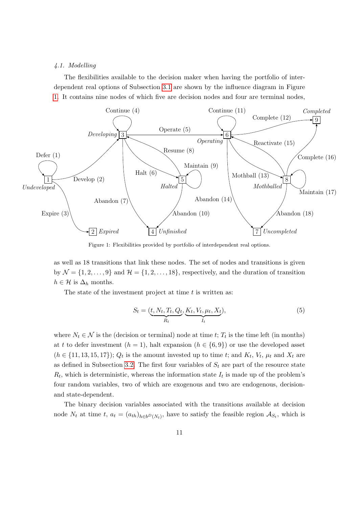## <span id="page-10-0"></span>4.1. Modelling

<span id="page-10-1"></span>The flexibilities available to the decision maker when having the portfolio of interdependent real options of Subsection [3.1](#page-6-1) are shown by the influence diagram in Figure [1.](#page-10-1) It contains nine nodes of which five are decision nodes and four are terminal nodes,



Figure 1: Flexibilities provided by portfolio of interdependent real options.

as well as 18 transitions that link these nodes. The set of nodes and transitions is given by  $\mathcal{N} = \{1, 2, ..., 9\}$  and  $\mathcal{H} = \{1, 2, ..., 18\}$ , respectively, and the duration of transition  $h \in \mathcal{H}$  is  $\Delta_h$  months.

The state of the investment project at time  $t$  is written as:

$$
S_t = (\underbrace{t, N_t, T_t, Q_t}_{R_t}, \underbrace{K_t, V_t, \mu_t, X_t}_{I_t}),
$$
\n<sup>(5)</sup>

where  $N_t \in \mathcal{N}$  is the (decision or terminal) node at time t;  $T_t$  is the time left (in months) at t to defer investment  $(h = 1)$ , halt expansion  $(h \in \{6, 9\})$  or use the developed asset  $(h \in \{11, 13, 15, 17\})$ ;  $Q_t$  is the amount invested up to time t; and  $K_t$ ,  $V_t$ ,  $\mu_t$  and  $X_t$  are as defined in Subsection [3.2.](#page-8-0) The first four variables of  $S_t$  are part of the resource state  $R_t$ , which is deterministic, whereas the information state  $I_t$  is made up of the problem's four random variables, two of which are exogenous and two are endogenous, decisionand state-dependent.

The binary decision variables associated with the transitions available at decision node  $N_t$  at time  $t, a_t = (a_{th})_{h \in b^D(N_t)},$  have to satisfy the feasible region  $\mathcal{A}_{S_t}$ , which is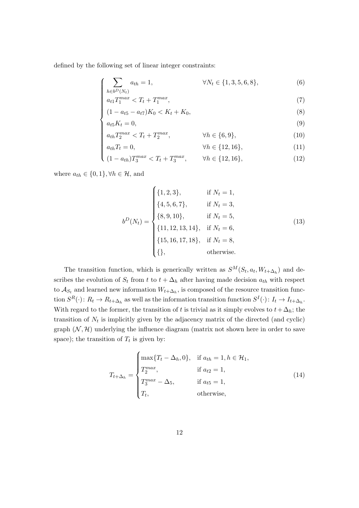defined by the following set of linear integer constraints:

$$
\left(\sum_{h \in b^D(N_t)} a_{th} = 1, \qquad \forall N_t \in \{1, 3, 5, 6, 8\},\right) \tag{6}
$$

$$
\begin{cases}\n\frac{h \in b^D(N_t)}{a_{t1} T_1^{max} < T_t + T_1^{max}, \\
(1 - a_{t5} - a_{t7}) K_0 < K_t + K_0,\n\end{cases} \tag{7}
$$

$$
(1 - a_{t5} - a_{t7})K_0 < K_t + K_0,\tag{8}
$$

$$
a_{t5}K_t = 0,\t\t(9)
$$

$$
a_{th}T_2^{max} < T_t + T_2^{max}, \qquad \qquad \forall h \in \{6, 9\}, \tag{10}
$$

$$
\begin{cases}\n a_{th}T_2^{max} < T_t + T_2^{max}, & \forall h \in \{6, 9\}, \\
 a_{th}T_t = 0, & \forall h \in \{12, 16\}, \\
 (1 - a_{th})T_3^{max} < T_t + T_3^{max}, & \forall h \in \{12, 16\},\n\end{cases}\n\tag{11}
$$

$$
(1 - a_{th})T_3^{max} < T_t + T_3^{max}, \qquad \forall h \in \{12, 16\},\tag{12}
$$

where  $a_{th} \in \{0, 1\}, \forall h \in \mathcal{H}$ , and

$$
b^{D}(N_{t}) = \begin{cases} \{1, 2, 3\}, & \text{if } N_{t} = 1, \\ \{4, 5, 6, 7\}, & \text{if } N_{t} = 3, \\ \{8, 9, 10\}, & \text{if } N_{t} = 5, \\ \{11, 12, 13, 14\}, & \text{if } N_{t} = 6, \\ \{15, 16, 17, 18\}, & \text{if } N_{t} = 8, \\ \{\}, & \text{otherwise.} \end{cases}
$$
(13)

The transition function, which is generically written as  $S^M(S_t, a_t, W_{t+\Delta_h})$  and describes the evolution of  $S_t$  from t to  $t + \Delta_h$  after having made decision  $a_{th}$  with respect to  $\mathcal{A}_{S_t}$  and learned new information  $W_{t+\Delta_h}$ , is composed of the resource transition function  $S^R(\cdot)$ :  $R_t \to R_{t+\Delta_h}$  as well as the information transition function  $S^I(\cdot)$ :  $I_t \to I_{t+\Delta_h}$ . With regard to the former, the transition of t is trivial as it simply evolves to  $t + \Delta_h$ ; the transition of  $N_t$  is implicitly given by the adjacency matrix of the directed (and cyclic) graph  $(N, \mathcal{H})$  underlying the influence diagram (matrix not shown here in order to save space); the transition of  $T_t$  is given by:

$$
T_{t+\Delta_h} = \begin{cases} \max\{T_t - \Delta_h, 0\}, & \text{if } a_{th} = 1, h \in \mathcal{H}_1, \\ T_2^{max}, & \text{if } a_{t2} = 1, \\ T_3^{max} - \Delta_5, & \text{if } a_{t5} = 1, \\ T_t, & \text{otherwise,} \end{cases}
$$
(14)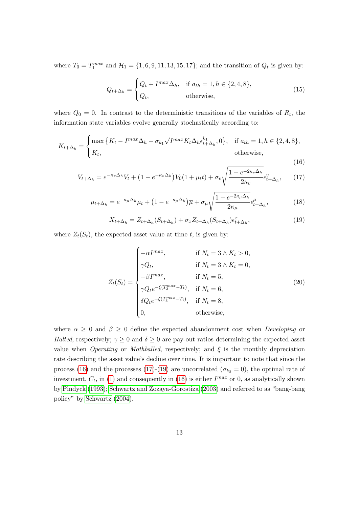where  $T_0 = T_1^{max}$  and  $\mathcal{H}_1 = \{1, 6, 9, 11, 13, 15, 17\}$ ; and the transition of  $Q_t$  is given by:

$$
Q_{t+\Delta_h} = \begin{cases} Q_t + I^{max} \Delta_h, & \text{if } a_{th} = 1, h \in \{2, 4, 8\}, \\ Q_t, & \text{otherwise}, \end{cases}
$$
(15)

where  $Q_0 = 0$ . In contrast to the deterministic transitions of the variables of  $R_t$ , the information state variables evolve generally stochastically according to:

<span id="page-12-0"></span>
$$
K_{t+\Delta_h} = \begin{cases} \max\left\{K_t - I^{max}\Delta_h + \sigma_{k_1}\sqrt{I^{max}K_t\Delta_h}\epsilon_{t+\Delta_h}^{k_1}, 0\right\}, & \text{if } a_{th} = 1, h \in \{2, 4, 8\},\\ K_t, & \text{otherwise,} \end{cases}
$$

$$
(16)
$$

<span id="page-12-1"></span>
$$
V_{t+\Delta_h} = e^{-\kappa_v \Delta_h} V_t + \left(1 - e^{-\kappa_v \Delta_h}\right) V_0 \left(1 + \mu_t t\right) + \sigma_v \sqrt{\frac{1 - e^{-2\kappa_v \Delta_h}}{2\kappa_v}} \epsilon_{t+\Delta_h}^v,\tag{17}
$$

<span id="page-12-3"></span>
$$
\mu_{t+\Delta_h} = e^{-\kappa_\mu \Delta_h} \mu_t + \left(1 - e^{-\kappa_\mu \Delta_h}\right) \overline{\mu} + \sigma_\mu \sqrt{\frac{1 - e^{-2\kappa_\mu \Delta_h}}{2\kappa_\mu}} \epsilon_{t+\Delta_h}^\mu, \tag{18}
$$

<span id="page-12-2"></span>
$$
X_{t+\Delta_h} = Z_{t+\Delta_h}(S_{t+\Delta_h}) + \sigma_x Z_{t+\Delta_h}(S_{t+\Delta_h})\epsilon_{t+\Delta_h}^x,\tag{19}
$$

where  $Z_t(S_t)$ , the expected asset value at time t, is given by:

<span id="page-12-4"></span>
$$
Z_t(S_t) = \begin{cases}\n-\alpha I^{max}, & \text{if } N_t = 3 \land K_t > 0, \\
\gamma Q_t, & \text{if } N_t = 3 \land K_t = 0, \\
-\beta I^{max}, & \text{if } N_t = 5, \\
\gamma Q_t e^{-\xi(T_3^{max} - T_t)}, & \text{if } N_t = 6, \\
\delta Q_t e^{-\xi(T_3^{max} - T_t)}, & \text{if } N_t = 8, \\
0, & \text{otherwise,} \n\end{cases}
$$
\n(20)

where  $\alpha \geq 0$  and  $\beta \geq 0$  define the expected abandonment cost when *Developing* or Halted, respectively;  $\gamma \geq 0$  and  $\delta \geq 0$  are pay-out ratios determining the expected asset value when *Operating* or *Mothballed*, respectively; and  $\xi$  is the monthly depreciation rate describing the asset value's decline over time. It is important to note that since the process [\(16\)](#page-12-0) and the processes [\(17\)](#page-12-1)-[\(19\)](#page-12-2) are uncorrelated ( $\sigma_{k_2} = 0$ ), the optimal rate of investment,  $C_t$ , in [\(1\)](#page-8-4) and consequently in [\(16\)](#page-12-0) is either  $I^{max}$  or 0, as analytically shown by [Pindyck](#page-31-6) [\(1993\)](#page-31-6); [Schwartz and Zozaya-Gorostiza](#page-32-9) [\(2003\)](#page-32-9) and referred to as "bang-bang policy" by [Schwartz](#page-32-2) [\(2004\)](#page-32-2).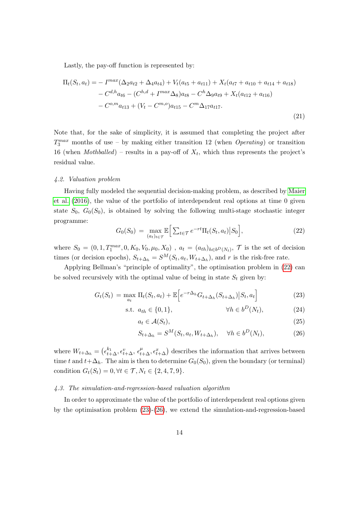Lastly, the pay-off function is represented by:

$$
\Pi_t(S_t, a_t) = -I^{max}(\Delta_2 a_{t2} + \Delta_4 a_{t4}) + V_t(a_{t5} + a_{t11}) + X_t(a_{t7} + a_{t10} + a_{t14} + a_{t18})
$$

$$
- C^{d,h} a_{t6} - (C^{h,d} + I^{max} \Delta_8) a_{t8} - C^h \Delta_9 a_{t9} + X_t(a_{t12} + a_{t16})
$$

$$
- C^{o,m} a_{t13} + (V_t - C^{m,o}) a_{t15} - C^m \Delta_{17} a_{t17}.
$$
\n(21)

Note that, for the sake of simplicity, it is assumed that completing the project after  $T_3^{max}$  months of use – by making either transition 12 (when *Operating*) or transition 16 (when *Mothballed*) – results in a pay-off of  $X_t$ , which thus represents the project's residual value.

#### 4.2. Valuation problem

Having fully modeled the sequential decision-making problem, as described by [Maier](#page-30-1) [et al.](#page-30-1) [\(2016\)](#page-30-1), the value of the portfolio of interdependent real options at time 0 given state  $S_0$ ,  $G_0(S_0)$ , is obtained by solving the following multi-stage stochastic integer programme:

<span id="page-13-1"></span>
$$
G_0(S_0) = \max_{(a_t)_{t \in \mathcal{T}}} \mathbb{E}\Big[\sum_{t \in \mathcal{T}} e^{-rt} \Pi_t(S_t, a_t) \big| S_0\Big],\tag{22}
$$

where  $S_0 = (0, 1, T_1^{max}, 0, K_0, V_0, \mu_0, X_0)$ ,  $a_t = (a_{th})_{h \in b^D(N_t)}, \mathcal{T}$  is the set of decision times (or decision epochs),  $S_{t+\Delta_h} = S^M(S_t, a_t, W_{t+\Delta_h})$ , and r is the risk-free rate.

Applying Bellman's "principle of optimality", the optimisation problem in [\(22\)](#page-13-1) can be solved recursively with the optimal value of being in state  $S_t$  given by:

$$
G_t(S_t) = \max_{a_t} \Pi_t(S_t, a_t) + \mathbb{E}\Big[e^{-r\Delta_h}G_{t+\Delta_h}(S_{t+\Delta_h})\big|S_t, a_t\Big]
$$
(23)

$$
\text{s.t. } a_{th} \in \{0, 1\}, \qquad \qquad \forall h \in b^D(N_t), \tag{24}
$$

<span id="page-13-2"></span>
$$
a_t \in \mathcal{A}(S_t),\tag{25}
$$

<span id="page-13-3"></span>
$$
S_{t+\Delta_h} = S^M(S_t, a_t, W_{t+\Delta_h}), \quad \forall h \in b^D(N_t), \tag{26}
$$

where  $W_{t+\Delta_h} = \left(\epsilon_{t+\Delta}^{k_1}, \epsilon_{t+\Delta}^v, \epsilon_{t+\Delta}^\mu, \epsilon_{t+\Delta}^x\right)$  describes the information that arrives between time t and  $t+\Delta_h$ . The aim is then to determine  $G_0(S_0)$ , given the boundary (or terminal) condition  $G_t(S_t) = 0, \forall t \in \mathcal{T}, N_t \in \{2, 4, 7, 9\}.$ 

## <span id="page-13-0"></span>4.3. The simulation-and-regression-based valuation algorithm

In order to approximate the value of the portfolio of interdependent real options given by the optimisation problem [\(23\)](#page-13-2)-[\(26\)](#page-13-3), we extend the simulation-and-regression-based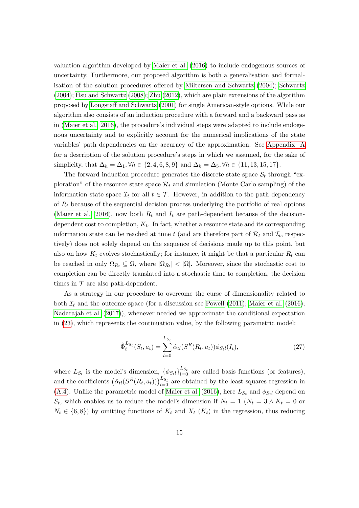valuation algorithm developed by [Maier et al.](#page-30-1) [\(2016\)](#page-30-1) to include endogenous sources of uncertainty. Furthermore, our proposed algorithm is both a generalisation and formalisation of the solution procedures offered by [Miltersen and Schwartz](#page-31-1) [\(2004\)](#page-31-1); [Schwartz](#page-32-2) [\(2004\)](#page-32-2); [Hsu and Schwartz](#page-29-0) [\(2008\)](#page-29-0); [Zhu](#page-33-0) [\(2012\)](#page-33-0), which are plain extensions of the algorithm proposed by [Longstaff and Schwartz](#page-30-2) [\(2001\)](#page-30-2) for single American-style options. While our algorithm also consists of an induction procedure with a forward and a backward pass as in [\(Maier et al., 2016\)](#page-30-1), the procedure's individual steps were adapted to include endogenous uncertainty and to explicitly account for the numerical implications of the state variables' path dependencies on the accuracy of the approximation. See [Appendix A](#page-25-0) for a description of the solution procedure's steps in which we assumed, for the sake of simplicity, that  $\Delta_h = \Delta_1$ ,  $\forall h \in \{2, 4, 6, 8, 9\}$  and  $\Delta_h = \Delta_5$ ,  $\forall h \in \{11, 13, 15, 17\}.$ 

The forward induction procedure generates the discrete state space  $S_t$  through "exploration" of the resource state space  $\mathcal{R}_t$  and simulation (Monte Carlo sampling) of the information state space  $\mathcal{I}_t$  for all  $t \in \mathcal{T}$ . However, in addition to the path dependency of  $R_t$  because of the sequential decision process underlying the portfolio of real options [\(Maier et al., 2016\)](#page-30-1), now both  $R_t$  and  $I_t$  are path-dependent because of the decisiondependent cost to completion,  $K_t$ . In fact, whether a resource state and its corresponding information state can be reached at time t (and are therefore part of  $\mathcal{R}_t$  and  $\mathcal{I}_t$ , respectively) does not solely depend on the sequence of decisions made up to this point, but also on how  $K_t$  evolves stochastically; for instance, it might be that a particular  $R_t$  can be reached in only  $\Omega_{R_t} \subseteq \Omega$ , where  $|\Omega_{R_t}| < |\Omega|$ . Moreover, since the stochastic cost to completion can be directly translated into a stochastic time to completion, the decision times in  $\mathcal T$  are also path-dependent.

As a strategy in our procedure to overcome the curse of dimensionality related to both  $\mathcal{I}_t$  and the outcome space (for a discussion see [Powell](#page-31-13) [\(2011\)](#page-31-13); [Maier et al.](#page-30-1) [\(2016\)](#page-30-1); [Nadarajah et al.](#page-31-14) [\(2017\)](#page-31-14)), whenever needed we approximate the conditional expectation in [\(23\)](#page-13-2), which represents the continuation value, by the following parametric model:

<span id="page-14-0"></span>
$$
\hat{\Phi}_t^{L_{S_t}}(S_t, a_t) = \sum_{l=0}^{L_{S_t}} \hat{\alpha}_{tl} (S^R(R_t, a_t)) \phi_{S_t l}(I_t), \qquad (27)
$$

where  $L_{S_t}$  is the model's dimension,  $\{\phi_{S_t}\}_{t=0}^{L_{S_t}}$  are called basis functions (or features), and the coefficients  $(\hat{\alpha}_{tl}(S^R(R_t, a_t)))_{l=0}^{L_{S_t}}$  are obtained by the least-squares regression in [\(A.4\)](#page-26-0). Unlike the parametric model of [Maier et al.](#page-30-1) [\(2016\)](#page-30-1), here  $L_{S_t}$  and  $\phi_{S_t}$  depend on  $S_t$ , which enables us to reduce the model's dimension if  $N_t = 1$  ( $N_t = 3 \wedge K_t = 0$  or  $N_t \in \{6, 8\}$  by omitting functions of  $K_t$  and  $X_t$   $(K_t)$  in the regression, thus reducing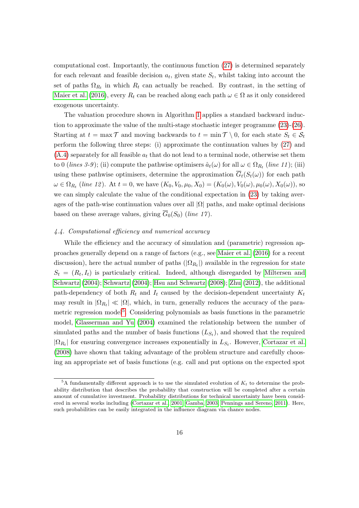computational cost. Importantly, the continuous function [\(27\)](#page-14-0) is determined separately for each relevant and feasible decision  $a_t$ , given state  $S_t$ , whilst taking into account the set of paths  $\Omega_{R_t}$  in which  $R_t$  can actually be reached. By contrast, in the setting of [Maier et al.](#page-30-1) [\(2016\)](#page-30-1), every  $R_t$  can be reached along each path  $\omega \in \Omega$  as it only considered exogenous uncertainty.

The valuation procedure shown in Algorithm [1](#page-27-3) applies a standard backward induction to approximate the value of the multi-stage stochastic integer programme  $(23)-(26)$  $(23)-(26)$  $(23)-(26)$ . Starting at  $t = \max \mathcal{T}$  and moving backwards to  $t = \min \mathcal{T} \setminus 0$ , for each state  $S_t \in \mathcal{S}_t$ perform the following three steps: (i) approximate the continuation values by [\(27\)](#page-14-0) and  $(A.4)$  separately for all feasible  $a_t$  that do not lead to a terminal node, otherwise set them to 0 (lines 3-9); (ii) compute the pathwise optimisers  $\hat{a}_t(\omega)$  for all  $\omega \in \Omega_{R_t}$  (line 11); (iii) using these pathwise optimisers, determine the approximation  $\overline{G}_t(S_t(\omega))$  for each path  $\omega \in \Omega_{R_t}$  (line 12). At  $t = 0$ , we have  $(K_0, V_0, \mu_0, X_0) = (K_0(\omega), V_0(\omega), \mu_0(\omega), X_0(\omega))$ , so we can simply calculate the value of the conditional expectation in [\(23\)](#page-13-2) by taking averages of the path-wise continuation values over all  $|\Omega|$  paths, and make optimal decisions based on these average values, giving  $\overline{G}_0(S_0)$  (line 17).

## 4.4. Computational efficiency and numerical accuracy

While the efficiency and the accuracy of simulation and (parametric) regression approaches generally depend on a range of factors (e.g., see [Maier et al.](#page-30-1) [\(2016\)](#page-30-1) for a recent discussion), here the actual number of paths  $(|\Omega_{R_t}|)$  available in the regression for state  $S_t = (R_t, I_t)$  is particularly critical. Indeed, although disregarded by [Miltersen and](#page-31-1) [Schwartz](#page-31-1) [\(2004\)](#page-31-1); [Schwartz](#page-32-2) [\(2004\)](#page-32-2); [Hsu and Schwartz](#page-29-0) [\(2008\)](#page-29-0); [Zhu](#page-33-0) [\(2012\)](#page-33-0), the additional path-dependency of both  $R_t$  and  $I_t$  caused by the decision-dependent uncertainty  $K_t$ may result in  $|\Omega_{R_t}| \ll |\Omega|$ , which, in turn, generally reduces the accuracy of the para-metric regression model<sup>[5](#page-15-0)</sup>. Considering polynomials as basis functions in the parametric model, [Glasserman and Yu](#page-29-10) [\(2004\)](#page-29-10) examined the relationship between the number of simulated paths and the number of basis functions  $(L_{S_t})$ , and showed that the required  $|\Omega_{R_t}|$  for ensuring convergence increases exponentially in  $L_{S_t}$ . However, [Cortazar et al.](#page-28-11) [\(2008\)](#page-28-11) have shown that taking advantage of the problem structure and carefully choosing an appropriate set of basis functions (e.g. call and put options on the expected spot

<span id="page-15-0"></span><sup>&</sup>lt;sup>5</sup>A fundamentally different approach is to use the simulated evolution of  $K_t$  to determine the probability distribution that describes the probability that construction will be completed after a certain amount of cumulative investment. Probability distributions for technical uncertainty have been considered in several works including [\(Cortazar et al., 2001;](#page-28-12) [Gamba, 2003;](#page-29-11) [Pennings and Sereno, 2011\)](#page-31-8). Here, such probabilities can be easily integrated in the influence diagram via chance nodes.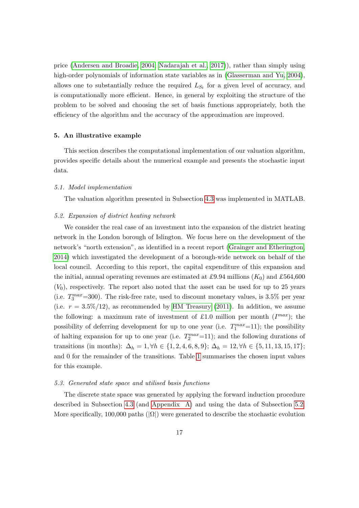price [\(Andersen and Broadie, 2004;](#page-27-4) [Nadarajah et al., 2017\)](#page-31-14)), rather than simply using high-order polynomials of information state variables as in [\(Glasserman and Yu, 2004\)](#page-29-10), allows one to substantially reduce the required  $L_{S_t}$  for a given level of accuracy, and is computationally more efficient. Hence, in general by exploiting the structure of the problem to be solved and choosing the set of basis functions appropriately, both the efficiency of the algorithm and the accuracy of the approximation are improved.

# <span id="page-16-0"></span>5. An illustrative example

This section describes the computational implementation of our valuation algorithm, provides specific details about the numerical example and presents the stochastic input data.

#### 5.1. Model implementation

The valuation algorithm presented in Subsection [4.3](#page-13-0) was implemented in MATLAB.

## <span id="page-16-1"></span>5.2. Expansion of district heating network

We consider the real case of an investment into the expansion of the district heating network in the London borough of Islington. We focus here on the development of the network's "north extension", as identified in a recent report [\(Grainger and Etherington,](#page-29-12) [2014\)](#page-29-12) which investigated the development of a borough-wide network on behalf of the local council. According to this report, the capital expenditure of this expansion and the initial, annual operating revenues are estimated at £9.94 millions  $(K_0)$  and £564,600  $(V_0)$ , respectively. The report also noted that the asset can be used for up to 25 years (i.e.  $T_3^{max}$ =300). The risk-free rate, used to discount monetary values, is 3.5% per year (i.e.  $r = 3.5\%/12$ ), as recommended by [HM Treasury](#page-29-13) [\(2011\)](#page-29-13). In addition, we assume the following: a maximum rate of investment of £1.0 million per month  $(I^{max})$ ; the possibility of deferring development for up to one year (i.e.  $T_1^{max}=11$ ); the possibility of halting expansion for up to one year (i.e.  $T_2^{max}=11$ ); and the following durations of transitions (in months):  $\Delta_h = 1, \forall h \in \{1, 2, 4, 6, 8, 9\}; \Delta_h = 12, \forall h \in \{5, 11, 13, 15, 17\};$ and 0 for the remainder of the transitions. Table [1](#page-17-0) summarises the chosen input values for this example.

#### 5.3. Generated state space and utilised basis functions

The discrete state space was generated by applying the forward induction procedure described in Subsection [4.3](#page-13-0) (and [Appendix A\)](#page-25-0) and using the data of Subsection [5.2.](#page-16-1) More specifically, 100,000 paths  $(|\Omega|)$  were generated to describe the stochastic evolution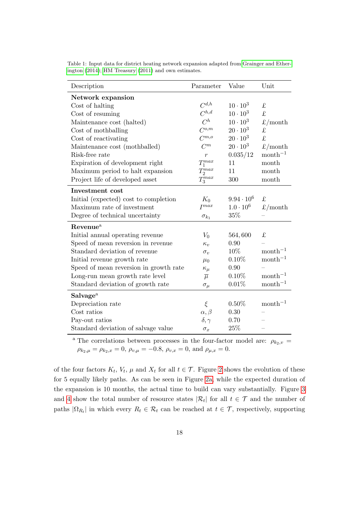| Description                            | Parameter        | Value              | Unit                   |
|----------------------------------------|------------------|--------------------|------------------------|
| Network expansion                      |                  |                    |                        |
| Cost of halting                        | $C^{d,h}$        | $10 \cdot 10^{3}$  | £                      |
| Cost of resuming                       | $C^{h,d}$        | $10 \cdot 10^{3}$  | £                      |
| Maintenance cost (halted)              | $C^h$            | $10 \cdot 10^{3}$  | $\pounds$ /month       |
| Cost of mothballing                    | $C^{o,m}$        | $20 \cdot 10^3$    | $\pounds$              |
| Cost of reactivating                   | $C^{m,o}$        | $20 \cdot 10^3$    | $\mathbf f$            |
| Maintenance cost (mothballed)          | $C^m$            | $20 \cdot 10^3$    | $\pounds$ /month       |
| Risk-free rate                         | $\overline{r}$   | 0.035/12           | $month^{-1}$           |
| Expiration of development right        | $T_1^{max}$      | 11                 | month                  |
| Maximum period to halt expansion       | $T_2^{max}$      | 11                 | month                  |
| Project life of developed asset        | $T_3^{max}$      | 300                | month                  |
| <b>Investment</b> cost                 |                  |                    |                        |
| Initial (expected) cost to completion  | $K_0$            | $9.94 \cdot 10^6$  | £                      |
| Maximum rate of investment             | $I^{max}$        | $1.0 \cdot 10^{6}$ | $\pounds/\text{month}$ |
| Degree of technical uncertainty        | $\sigma_{k_1}$   | 35%                |                        |
| Revenue <sup>a</sup>                   |                  |                    |                        |
| Initial annual operating revenue       | $V_0$            | 564,600            | £                      |
| Speed of mean reversion in revenue     | $\kappa_v$       | 0.90               |                        |
| Standard deviation of revenue          | $\sigma_v$       | 10%                | $month^{-1}$           |
| Initial revenue growth rate            | $\mu_0$          | $0.10\%$           | $month^{-1}$           |
| Speed of mean reversion in growth rate | $\kappa_\mu$     | 0.90               |                        |
| Long-run mean growth rate level        | $\overline{\mu}$ | $0.10\%$           | $month^{-1}$           |
| Standard deviation of growth rate      | $\sigma_{\mu}$   | 0.01%              | $month^{-1}$           |
| <b>Salvage</b> <sup>a</sup>            |                  |                    |                        |
| Depreciation rate                      | $\xi$            | $0.50\%$           | $month^{-1}$           |
| Cost ratios                            | $\alpha, \beta$  | 0.30               |                        |
| Pay-out ratios                         | $\delta, \gamma$ | 0.70               |                        |
| Standard deviation of salvage value    | $\sigma_x$       | 25\%               |                        |

<span id="page-17-0"></span>Table 1: Input data for district heating network expansion adapted from [Grainger and Ether](#page-29-12)[ington](#page-29-12) [\(2014\)](#page-29-12); [HM Treasury](#page-29-13) [\(2011\)](#page-29-13) and own estimates.

<sup>a</sup> The correlations between processes in the four-factor model are:  $\rho_{k_2,v}$  =  $\rho_{k_2,\mu} = \rho_{k_2,x} = 0$ ,  $\rho_{v,\mu} = -0.8$ ,  $\rho_{v,x} = 0$ , and  $\rho_{\mu,x} = 0$ .

of the four factors  $K_t$ ,  $V_t$ ,  $\mu$  and  $X_t$  for all  $t \in \mathcal{T}$ . Figure [2](#page-18-0) shows the evolution of these for 5 equally likely paths. As can be seen in Figure [2a,](#page-18-0) while the expected duration of the expansion is 10 months, the actual time to build can vary substantially. Figure [3](#page-19-1) and [4](#page-19-1) show the total number of resource states  $|\mathcal{R}_t|$  for all  $t \in \mathcal{T}$  and the number of paths  $|\Omega_{R_t}|$  in which every  $R_t \in \mathcal{R}_t$  can be reached at  $t \in \mathcal{T}$ , respectively, supporting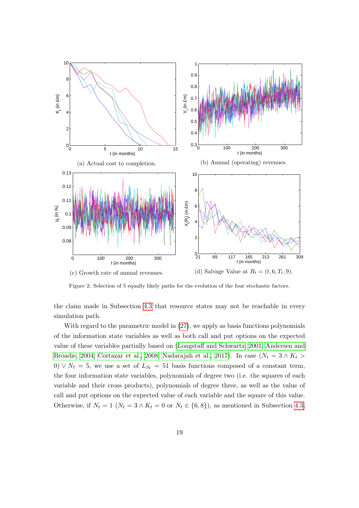<span id="page-18-0"></span>

Figure 2: Selection of 5 equally likely paths for the evolution of the four stochastic factors.

the claim made in Subsection [4.3](#page-13-0) that resource states may not be reachable in every simulation path.

With regard to the parametric model in [\(27\)](#page-14-0), we apply as basis functions polynomials of the information state variables as well as both call and put options on the expected value of these variables partially based on [\(Longstaff and Schwartz, 2001;](#page-30-2) [Andersen and](#page-27-4) [Broadie, 2004;](#page-27-4) [Cortazar et al., 2008;](#page-28-11) [Nadarajah et al., 2017\)](#page-31-14). In case ( $N_t = 3 \wedge K_t >$ 0)  $\vee N_t = 5$ , we use a set of  $L_{S_t} = 51$  basis functions composed of a constant term, the four information state variables, polynomials of degree two (i.e. the squares of each variable and their cross products), polynomials of degree three, as well as the value of call and put options on the expected value of each variable and the square of this value. Otherwise, if  $N_t = 1$   $(N_t = 3 \wedge K_t = 0$  or  $N_t \in \{6, 8\})$ , as mentioned in Subsection [4.3,](#page-13-0)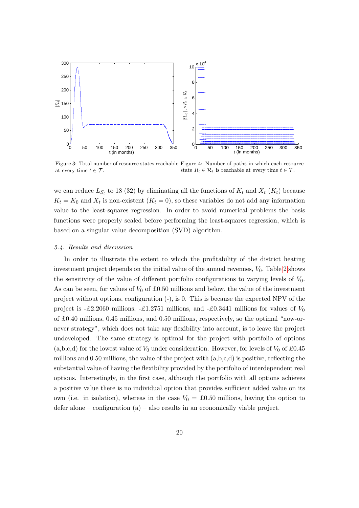<span id="page-19-1"></span>

Figure 3: Total number of resource states reachable Figure 4: Number of paths in which each resource at every time  $t \in \mathcal{T}$ . state  $R_t \in \mathcal{R}_t$  is reachable at every time  $t \in \mathcal{T}$ .

we can reduce  $L_{S_t}$  to 18 (32) by eliminating all the functions of  $K_t$  and  $X_t$  ( $K_t$ ) because  $K_t = K_0$  and  $X_t$  is non-existent  $(K_t = 0)$ , so these variables do not add any information value to the least-squares regression. In order to avoid numerical problems the basis functions were properly scaled before performing the least-squares regression, which is based on a singular value decomposition (SVD) algorithm.

## <span id="page-19-0"></span>5.4. Results and discussion

In order to illustrate the extent to which the profitability of the district heating investment project depends on the initial value of the annual revenues,  $V_0$ , Table [2](#page-20-0) shows the sensitivity of the value of different portfolio configurations to varying levels of  $V_0$ . As can be seen, for values of  $V_0$  of £0.50 millions and below, the value of the investment project without options, configuration (-), is 0. This is because the expected NPV of the project is -£2.2060 millions, -£1.2751 millions, and -£0.3441 millions for values of  $V_0$ of £0.40 millions, 0.45 millions, and 0.50 millions, respectively, so the optimal "now-ornever strategy", which does not take any flexibility into account, is to leave the project undeveloped. The same strategy is optimal for the project with portfolio of options (a,b,c,d) for the lowest value of  $V_0$  under consideration. However, for levels of  $V_0$  of £0.45 millions and 0.50 millions, the value of the project with (a,b,c,d) is positive, reflecting the substantial value of having the flexibility provided by the portfolio of interdependent real options. Interestingly, in the first case, although the portfolio with all options achieves a positive value there is no individual option that provides sufficient added value on its own (i.e. in isolation), whereas in the case  $V_0 = \pounds 0.50$  millions, having the option to defer alone – configuration  $(a)$  – also results in an economically viable project.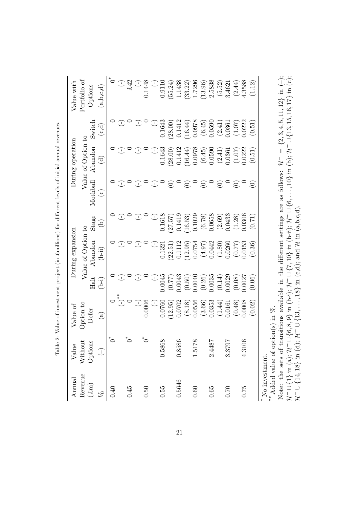| Value              | Value of                         |                                                                                                   | During expansion     |                                                                                                                                                                                                                                                                                                                                                                                                                                                                                            |                    | During operation                   |                    | Value with                             |
|--------------------|----------------------------------|---------------------------------------------------------------------------------------------------|----------------------|--------------------------------------------------------------------------------------------------------------------------------------------------------------------------------------------------------------------------------------------------------------------------------------------------------------------------------------------------------------------------------------------------------------------------------------------------------------------------------------------|--------------------|------------------------------------|--------------------|----------------------------------------|
| Without            | Option to                        |                                                                                                   | Value of Option to   |                                                                                                                                                                                                                                                                                                                                                                                                                                                                                            |                    | Value of Option to                 |                    | Portfolio of                           |
| Options            | Defer                            | Halt                                                                                              | $A$ bandon           | Stage                                                                                                                                                                                                                                                                                                                                                                                                                                                                                      | Mothball           | Abandon                            | Switch             | Options                                |
| $\bigcap$          | $\bigcirc$                       | (j-d                                                                                              | $(b-ii)$             | $\widehat{e}$                                                                                                                                                                                                                                                                                                                                                                                                                                                                              | $\odot$            | $\widehat{\mathbf{c}}$             | (c,d)              | (a,b,c,d)                              |
| $\tilde{\sigma}^*$ |                                  |                                                                                                   |                      |                                                                                                                                                                                                                                                                                                                                                                                                                                                                                            |                    |                                    |                    | $\mathring{\mathcal{O}}^*$             |
|                    | $\begin{pmatrix} -\end{pmatrix}$ | $\mathbb{C}$                                                                                      | J                    | O                                                                                                                                                                                                                                                                                                                                                                                                                                                                                          | $\bigcirc$         | O                                  | J                  | $\overline{C}$ $\overline{C}$          |
|                    |                                  |                                                                                                   |                      |                                                                                                                                                                                                                                                                                                                                                                                                                                                                                            |                    |                                    |                    |                                        |
|                    | $(-)$<br>0.0006                  | ⊙                                                                                                 | Œ                    | Œ                                                                                                                                                                                                                                                                                                                                                                                                                                                                                          | Œ                  | Œ                                  | Œ                  | $\begin{pmatrix} 1 \\ 1 \end{pmatrix}$ |
|                    |                                  |                                                                                                   |                      |                                                                                                                                                                                                                                                                                                                                                                                                                                                                                            |                    |                                    |                    | 0.1448                                 |
|                    | $\bigcirc$                       |                                                                                                   | $\bigcup$            | $\begin{tabular}{c} \multicolumn{2}{c}{} & \multicolumn{2}{c}{} \\ \multicolumn{2}{c}{} & \multicolumn{2}{c}{} \\ \multicolumn{2}{c}{} & \multicolumn{2}{c}{} \\ \multicolumn{2}{c}{} & \multicolumn{2}{c}{} \\ \multicolumn{2}{c}{} & \multicolumn{2}{c}{} \\ \multicolumn{2}{c}{} & \multicolumn{2}{c}{} \\ \multicolumn{2}{c}{} & \multicolumn{2}{c}{} \\ \multicolumn{2}{c}{} & \multicolumn{2}{c}{} \\ \multicolumn{2}{c}{} & \multicolumn{2}{c}{} \\ \multicolumn{2}{c}{} & \multic$ | $\bigcirc$         | $\bigcirc$                         | $\bigcup$          | $\cup$                                 |
| 89<br>0.58         | 0.0760                           | $(-)$<br>0.0045                                                                                   | 0.1321               | 0.1618                                                                                                                                                                                                                                                                                                                                                                                                                                                                                     |                    | 0.1643                             | 0.1643             | 0.9110                                 |
|                    | (12.95)                          | (77.0)                                                                                            | (22.51)              | $(27.57)$<br>0.1419                                                                                                                                                                                                                                                                                                                                                                                                                                                                        | $\odot$            | (28.00)                            | (28.00)            | (55.24)                                |
| 86<br>0.85         | 0.0702                           | 0.0043                                                                                            | 0.1112               |                                                                                                                                                                                                                                                                                                                                                                                                                                                                                            | $\circ$            | 0.1412                             | 0.1412             | 1.1438                                 |
|                    | (8.18)                           |                                                                                                   | (12.95)              | (16.53)                                                                                                                                                                                                                                                                                                                                                                                                                                                                                    | $\odot$            | (16.44)                            | (16.44)            | (33.22)                                |
| 87<br>1.51         | 0.0556                           |                                                                                                   | 0.0754               | 0.1029                                                                                                                                                                                                                                                                                                                                                                                                                                                                                     |                    |                                    | 0.0978             | 1.7296                                 |
|                    | $(3.66)$<br>0.0353               |                                                                                                   | $(4.97)$<br>0.0442   |                                                                                                                                                                                                                                                                                                                                                                                                                                                                                            | $\widehat{\odot}$  | $(6.45)$<br>$(6.45)$<br>$(0.0590)$ | $(6.45)$<br>0.0590 | (13.96)                                |
| 78<br>2.44         |                                  |                                                                                                   |                      |                                                                                                                                                                                                                                                                                                                                                                                                                                                                                            |                    |                                    |                    | 2.5838                                 |
|                    | $(1.44)$<br>0.0161               | $\begin{array}{c} (0.50) \\ 0.0040 \\ (0.26) \\ (0.26) \\ 0.0035 \\ (0.14) \\ (0.029 \end{array}$ | $(1.80)$<br>0.0260   | $\begin{array}{c} (6.78) \\ 0.0658 \\ (2.69) \\ 0.0433 \end{array}$                                                                                                                                                                                                                                                                                                                                                                                                                        | $\widehat{\Theta}$ | $(2.41)$<br>0.0361                 | $(2.41)$<br>0.0361 | (5.52)                                 |
| 16<br>3.37         |                                  |                                                                                                   |                      |                                                                                                                                                                                                                                                                                                                                                                                                                                                                                            |                    |                                    |                    | 3.4621                                 |
|                    | $(0.48)$<br>0.0008               | (0.08)                                                                                            | $(0.77)$<br>$0.0153$ | $(1.28)$<br>$0.0306$                                                                                                                                                                                                                                                                                                                                                                                                                                                                       | $\widehat{\odot}$  | $(1.07)$<br>$0.0222$               | (1.07)             | (2.44)                                 |
| 06<br>4.31         |                                  | 1.0027                                                                                            |                      |                                                                                                                                                                                                                                                                                                                                                                                                                                                                                            |                    |                                    | 0.222              | 4.3588                                 |
|                    | (0.02)                           | (0.06)                                                                                            | (0.36)               | (0.71)                                                                                                                                                                                                                                                                                                                                                                                                                                                                                     | $\widehat{\Theta}$ | (0.51)                             | (0.51)             | (1.12)                                 |

Table 2: Value of investment project (in £millions) for different levels of initial annual revenues. Table 2: Value of investment project (in £millions) for different levels of initial annual revenues.

<span id="page-20-0"></span>Added value of option(s) in %. \*\* Added value of option(s) in  $%$ .

Note: the sets of transitions available in the different settings are as follows:  $\mathcal{H}^- = \{2, 3, 4, 5, 11, 12\}$  in  $(-)$ ;  $\mathcal{H}^- \cup \{1\}$  in (a);  $\mathcal{H}^- \cup \{6, 8, 9\}$  in (b-i);  $\mathcal{H}^- \cup \{7, 10\}$  in (b-ii);  $\mathcal{H}$ Note: the sets of transitions available in the different settings are as follows:  $\mathcal{H}^- = \{2, 3, 4, 5, 11, 12\}$  in (–);<br> $\ldots$ H− ∪ {1} in (a); H− ∪ {6, 8, 9} in (b-i); H− ∪ {7, 10} in (b-ii); H− ∪ {6,...., 10} in (b); H− ∪ {13, 15, 16, 17} in (c); ∴  $\mathcal{H}^- \cup \{14, 18\} \, \, \text{in (d)}; \, \mathcal{H}^- \cup \{13, \ldots, 18\} \, \, \text{in (c,d)}; \, \text{and } \mathcal{H} \, \, \text{in (a,b,c,d)}.$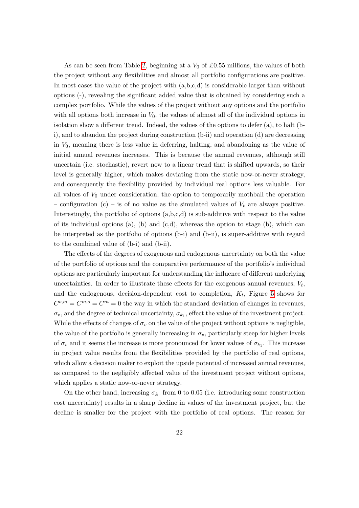As can be seen from Table [2,](#page-20-0) beginning at a  $V_0$  of £0.55 millions, the values of both the project without any flexibilities and almost all portfolio configurations are positive. In most cases the value of the project with (a,b,c,d) is considerable larger than without options (-), revealing the significant added value that is obtained by considering such a complex portfolio. While the values of the project without any options and the portfolio with all options both increase in  $V_0$ , the values of almost all of the individual options in isolation show a different trend. Indeed, the values of the options to defer  $(a)$ , to halt (bi), and to abandon the project during construction (b-ii) and operation (d) are decreasing in  $V_0$ , meaning there is less value in deferring, halting, and abandoning as the value of initial annual revenues increases. This is because the annual revenues, although still uncertain (i.e. stochastic), revert now to a linear trend that is shifted upwards, so their level is generally higher, which makes deviating from the static now-or-never strategy, and consequently the flexibility provided by individual real options less valuable. For all values of  $V_0$  under consideration, the option to temporarily mothball the operation – configuration (c) – is of no value as the simulated values of  $V_t$  are always positive. Interestingly, the portfolio of options (a,b,c,d) is sub-additive with respect to the value of its individual options  $(a)$ ,  $(b)$  and  $(c,d)$ , whereas the option to stage  $(b)$ , which can be interpreted as the portfolio of options (b-i) and (b-ii), is super-additive with regard to the combined value of (b-i) and (b-ii).

The effects of the degrees of exogenous and endogenous uncertainty on both the value of the portfolio of options and the comparative performance of the portfolio's individual options are particularly important for understanding the influence of different underlying uncertainties. In order to illustrate these effects for the exogenous annual revenues,  $V_t$ , and the endogenous, decision-dependent cost to completion,  $K_t$ , Figure [5](#page-22-0) shows for  $C^{o,m} = C^{m,o} = C^m = 0$  the way in which the standard deviation of changes in revenues,  $\sigma_v$ , and the degree of technical uncertainty,  $\sigma_{k_1}$ , effect the value of the investment project. While the effects of changes of  $\sigma_v$  on the value of the project without options is negligible, the value of the portfolio is generally increasing in  $\sigma_v$ , particularly steep for higher levels of  $\sigma_v$  and it seems the increase is more pronounced for lower values of  $\sigma_{k_1}$ . This increase in project value results from the flexibilities provided by the portfolio of real options, which allow a decision maker to exploit the upside potential of increased annual revenues, as compared to the negligibly affected value of the investment project without options, which applies a static now-or-never strategy.

On the other hand, increasing  $\sigma_{k_1}$  from 0 to 0.05 (i.e. introducing some construction cost uncertainty) results in a sharp decline in values of the investment project, but the decline is smaller for the project with the portfolio of real options. The reason for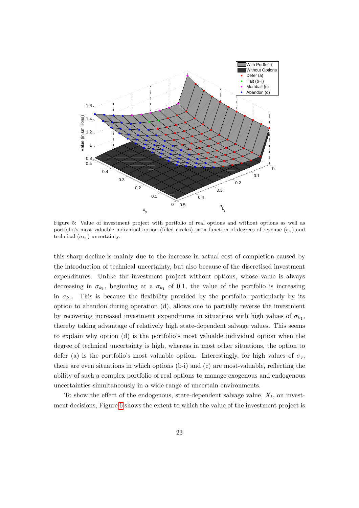<span id="page-22-0"></span>

Figure 5: Value of investment project with portfolio of real options and without options as well as portfolio's most valuable individual option (filled circles), as a function of degrees of revenue  $(\sigma_v)$  and technical  $(\sigma_{k_1})$  uncertainty.

this sharp decline is mainly due to the increase in actual cost of completion caused by the introduction of technical uncertainty, but also because of the discretised investment expenditures. Unlike the investment project without options, whose value is always decreasing in  $\sigma_{k_1}$ , beginning at a  $\sigma_{k_1}$  of 0.1, the value of the portfolio is increasing in  $\sigma_{k_1}$ . This is because the flexibility provided by the portfolio, particularly by its option to abandon during operation (d), allows one to partially reverse the investment by recovering increased investment expenditures in situations with high values of  $\sigma_{k_1}$ , thereby taking advantage of relatively high state-dependent salvage values. This seems to explain why option (d) is the portfolio's most valuable individual option when the degree of technical uncertainty is high, whereas in most other situations, the option to defer (a) is the portfolio's most valuable option. Interestingly, for high values of  $\sigma_v$ , there are even situations in which options (b-i) and (c) are most-valuable, reflecting the ability of such a complex portfolio of real options to manage exogenous and endogenous uncertainties simultaneously in a wide range of uncertain environments.

To show the effect of the endogenous, state-dependent salvage value,  $X_t$ , on investment decisions, Figure [6](#page-23-0) shows the extent to which the value of the investment project is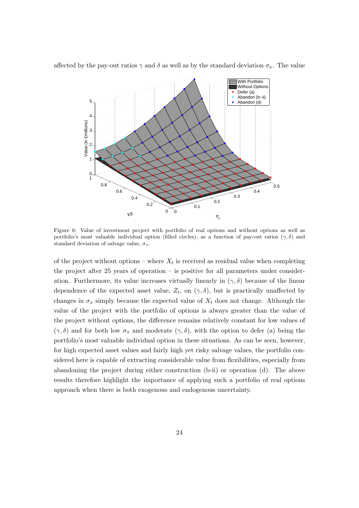

<span id="page-23-0"></span>affected by the pay-out ratios  $\gamma$  and  $\delta$  as well as by the standard deviation  $\sigma_x$ . The value

Figure 6: Value of investment project with portfolio of real options and without options as well as portfolio's most valuable individual option (filled circles), as a function of pay-out ratios  $(\gamma, \delta)$  and standard deviation of salvage value,  $\sigma_x$ .

of the project without options – where  $X_t$  is received as residual value when completing the project after 25 years of operation – is positive for all parameters under consideration. Furthermore, its value increases virtually linearly in  $(\gamma, \delta)$  because of the linear dependence of the expected asset value,  $Z_t$ , on  $(\gamma, \delta)$ , but is practically unaffected by changes in  $\sigma_x$  simply because the expected value of  $X_t$  does not change. Although the value of the project with the portfolio of options is always greater than the value of the project without options, the difference remains relatively constant for low values of  $(\gamma, \delta)$  and for both low  $\sigma_x$  and moderate  $(\gamma, \delta)$ , with the option to defer (a) being the portfolio's most valuable individual option in these situations. As can be seen, however, for high expected asset values and fairly high yet risky salvage values, the portfolio considered here is capable of extracting considerable value from flexibilities, especially from abandoning the project during either construction (b-ii) or operation (d). The above results therefore highlight the importance of applying such a portfolio of real options approach when there is both exogenous and endogenous uncertainty.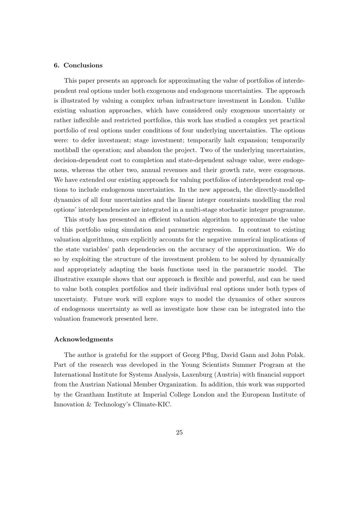# <span id="page-24-0"></span>6. Conclusions

This paper presents an approach for approximating the value of portfolios of interdependent real options under both exogenous and endogenous uncertainties. The approach is illustrated by valuing a complex urban infrastructure investment in London. Unlike existing valuation approaches, which have considered only exogenous uncertainty or rather inflexible and restricted portfolios, this work has studied a complex yet practical portfolio of real options under conditions of four underlying uncertainties. The options were: to defer investment; stage investment; temporarily halt expansion; temporarily mothball the operation; and abandon the project. Two of the underlying uncertainties, decision-dependent cost to completion and state-dependent salvage value, were endogenous, whereas the other two, annual revenues and their growth rate, were exogenous. We have extended our existing approach for valuing portfolios of interdependent real options to include endogenous uncertainties. In the new approach, the directly-modelled dynamics of all four uncertainties and the linear integer constraints modelling the real options' interdependencies are integrated in a multi-stage stochastic integer programme.

This study has presented an efficient valuation algorithm to approximate the value of this portfolio using simulation and parametric regression. In contrast to existing valuation algorithms, ours explicitly accounts for the negative numerical implications of the state variables' path dependencies on the accuracy of the approximation. We do so by exploiting the structure of the investment problem to be solved by dynamically and appropriately adapting the basis functions used in the parametric model. The illustrative example shows that our approach is flexible and powerful, and can be used to value both complex portfolios and their individual real options under both types of uncertainty. Future work will explore ways to model the dynamics of other sources of endogenous uncertainty as well as investigate how these can be integrated into the valuation framework presented here.

## Acknowledgments

The author is grateful for the support of Georg Pflug, David Gann and John Polak. Part of the research was developed in the Young Scientists Summer Program at the International Institute for Systems Analysis, Laxenburg (Austria) with financial support from the Austrian National Member Organization. In addition, this work was supported by the Grantham Institute at Imperial College London and the European Institute of Innovation & Technology's Climate-KIC.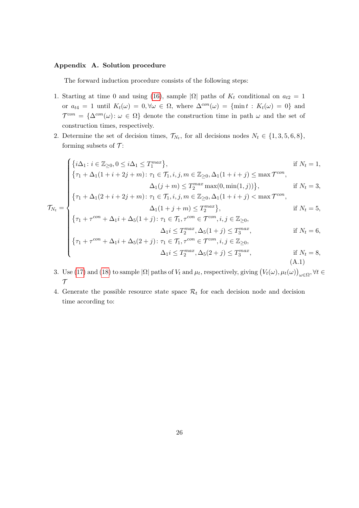# <span id="page-25-0"></span>Appendix A. Solution procedure

The forward induction procedure consists of the following steps:

- 1. Starting at time 0 and using [\(16\)](#page-12-0), sample  $|\Omega|$  paths of  $K_t$  conditional on  $a_{t2} = 1$ or  $a_{t4} = 1$  until  $K_t(\omega) = 0, \forall \omega \in \Omega$ , where  $\Delta^{con}(\omega) = \{\min t : K_t(\omega) = 0\}$  and  $\mathcal{T}^{con} = {\Delta^{con}(\omega) : \omega \in \Omega}$  denote the construction time in path  $\omega$  and the set of construction times, respectively.
- 2. Determine the set of decision times,  $\mathcal{T}_{N_t}$ , for all decisions nodes  $N_t \in \{1, 3, 5, 6, 8\}$ , forming subsets of  $\mathcal{T}$ :

$$
\mathcal{T}_{N_t} = \begin{cases}\n\{i\Delta_1: i \in \mathbb{Z}_{\geq 0}, 0 \leq i\Delta_1 \leq T_1^{max}\}, & \text{if } N_t = 1, \\
\{\tau_1 + \Delta_1(1 + i + 2j + m): \tau_1 \in \mathcal{T}_1, i, j, m \in \mathbb{Z}_{\geq 0}, \Delta_1(1 + i + j) \leq \max \mathcal{T}^{con}, \\
\{\tau_1 + \Delta_1(2 + i + 2j + m): \tau_1 \in \mathcal{T}_1, i, j, m \in \mathbb{Z}_{\geq 0}, \Delta_1(1 + i + j) < \max \mathcal{T}^{con}, \\
\{\tau_1 + \Delta_1(2 + i + 2j + m): \tau_1 \in \mathcal{T}_1, i, j, m \in \mathbb{Z}_{\geq 0}, \Delta_1(1 + i + j) < \max \mathcal{T}^{con}, \\
\Delta_1(1 + j + m) \leq T_2^{max}\}, & \text{if } N_t = 5, \\
\{\tau_1 + \tau^{con} + \Delta_1 i + \Delta_5(1 + j): \tau_1 \in \mathcal{T}_1, \tau^{con} \in \mathcal{T}^{con}, i, j \in \mathbb{Z}_{\geq 0}, \\
\Delta_1 i \leq T_2^{max}, \Delta_5(1 + j) \leq T_3^{max}, & \text{if } N_t = 6, \\
\{\tau_1 + \tau^{con} + \Delta_1 i + \Delta_5(2 + j): \tau_1 \in \mathcal{T}_1, \tau^{con} \in \mathcal{T}^{con}, i, j \in \mathbb{Z}_{\geq 0}, \\
\Delta_1 i \leq T_2^{max}, \Delta_5(2 + j) \leq T_3^{max}, & \text{if } N_t = 8,\n\end{cases}
$$

$$
\Delta_1 i \le T_2^{max}, \Delta_5(2+j) \le T_3^{max}, \qquad \text{if } N_t = 8,
$$
\n
$$
(A.1)
$$

- 3. Use [\(17\)](#page-12-1) and [\(18\)](#page-12-3) to sample  $|\Omega|$  paths of  $V_t$  and  $\mu_t$ , respectively, giving  $(V_t(\omega), \mu_t(\omega))_{\omega \in \Omega}$ ,  $\forall t \in$  $\mathcal T$
- 4. Generate the possible resource state space  $\mathcal{R}_t$  for each decision node and decision time according to: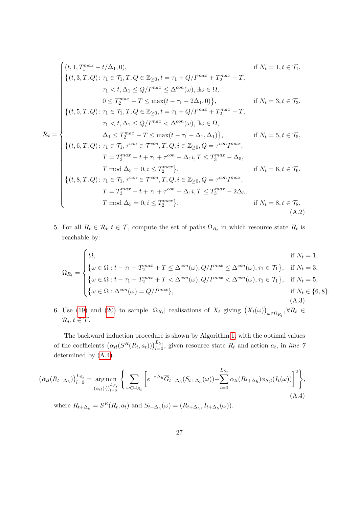$$
\mathcal{R}_{t} = \begin{cases}\n(t, 1, T_{1}^{max} - t/\Delta_{1}, 0), & \text{if } N_{t} = 1, t \in \mathcal{T}_{1}, \\
\{(t, 3, T, Q) : \tau_{1} \in \mathcal{T}_{1}, T, Q \in \mathbb{Z}_{\geq 0}, t = \tau_{1} + Q/I^{max} + T_{2}^{max} - T, \\
& \tau_{1} < t, \Delta_{1} \leq Q/I^{max} \leq \Delta^{con}(\omega), \exists \omega \in \Omega, \\
& 0 \leq T_{2}^{max} - T \leq \max(t - \tau_{1} - 2\Delta_{1}, 0)\}, & \text{if } N_{t} = 3, t \in \mathcal{T}_{3}, \\
\{(t, 5, T, Q) : \tau_{1} \in \mathcal{T}_{1}, T, Q \in \mathbb{Z}_{\geq 0}, t = \tau_{1} + Q/I^{max} + T_{2}^{max} - T, \\
& \tau_{1} < t, \Delta_{1} \leq Q/I^{max} < \Delta^{con}(\omega), \exists \omega \in \Omega, \\
& \Delta_{1} \leq T_{2}^{max} - T \leq \max(t - \tau_{1} - \Delta_{1}, \Delta_{1})\}, & \text{if } N_{t} = 5, t \in \mathcal{T}_{5}, \\
\{(t, 6, T, Q) : \tau_{1} \in \mathcal{T}_{1}, \tau^{con} \in \mathcal{T}^{con}, T, Q, i \in \mathbb{Z}_{\geq 0}, Q = \tau^{con} I^{max}, \\
& T = T_{3}^{max} - t + \tau_{1} + \tau^{con} + \Delta_{1}i, T \leq T_{3}^{max} - \Delta_{5}, \\
& \text{if } N_{t} = 6, t \in \mathcal{T}_{6}, \\
\{(t, 8, T, Q) : \tau_{1} \in \mathcal{T}_{1}, \tau^{con} \in \mathcal{T}^{con}, T, Q, i \in \mathbb{Z}_{\geq 0}, Q = \tau^{con} I^{max}, \\
& T = T_{3}^{max} - t + \tau_{1} + \tau^{con} + \Delta_{1}i, T \leq T_{3}^{max} - 2\Delta_{5}, \\
& T \mod \Delta_{5} = 0, i \leq T_{2}^{max}\}, & \text{if } N_{t} = 8, t \in \mathcal{T}_{8}, \\
& \text{(A.2)}\n\end{cases}
$$

5. For all  $R_t \in \mathcal{R}_t, t \in \mathcal{T}$ , compute the set of paths  $\Omega_{R_t}$  in which resource state  $R_t$  is reachable by:

$$
\Omega_{R_t} = \begin{cases}\n\Omega, & \text{if } N_t = 1, \\
\{\omega \in \Omega : t - \tau_1 - T_2^{max} + T \le \Delta^{con}(\omega), Q/T^{max} \le \Delta^{con}(\omega), \tau_1 \in \mathcal{T}_1\}, & \text{if } N_t = 3, \\
\{\omega \in \Omega : t - \tau_1 - T_2^{max} + T < \Delta^{con}(\omega), Q/T^{max} < \Delta^{con}(\omega), \tau_1 \in \mathcal{T}_1\}, & \text{if } N_t = 5, \\
\{\omega \in \Omega : \Delta^{con}(\omega) = Q/T^{max}\}, & \text{if } N_t \in \{6, 8\}.\n\end{cases}
$$
\n(A.3)

6. Use [\(19\)](#page-12-2) and [\(20\)](#page-12-4) to sample  $|\Omega_{R_t}|$  realisations of  $X_t$  giving  $(X_t(\omega))_{\omega \in \Omega_{R_t}}$ ,  $\forall R_t \in$  $\mathcal{R}_t, t \in \mathcal{T}$ .

The backward induction procedure is shown by Algorithm [1,](#page-27-3) with the optimal values of the coefficients  $(\alpha_{tl}(S^R(R_t, a_t)))_{l=0}^{L_{S_t}}$ , given resource state  $R_t$  and action  $a_t$ , in line 7 determined by [\(A.4\)](#page-26-0).

<span id="page-26-0"></span>
$$
\left(\hat{\alpha}_{tl}(R_{t+\Delta_h})\right)_{l=0}^{L_{S_t}} = \underset{\left(\alpha_{tl}(\cdot)\right)_{l=0}^{L_{S_t}}}{\arg\min} \left\{ \sum_{\omega \in \Omega_{R_t}} \left[ e^{-r\Delta_h} \overline{G}_{t+\Delta_h}(S_{t+\Delta_h}(\omega)) - \sum_{l=0}^{L_{S_t}} \alpha_{tl}(R_{t+\Delta_h}) \phi_{S_t l}(I_t(\omega)) \right]^2 \right\},\tag{A.4}
$$

where  $R_{t+\Delta_h} = S^R(R_t, a_t)$  and  $S_{t+\Delta_h}(\omega) = (R_{t+\Delta_h}, I_{t+\Delta_h}(\omega))$ .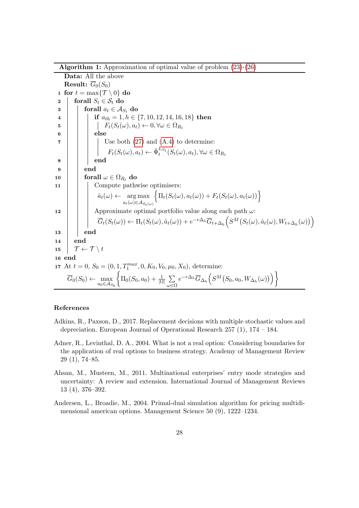Algorithm 1: Approximation of optimal value of problem [\(23\)](#page-13-2)-[\(26\)](#page-13-3)

Data: All the above **Result:**  $\overline{G}_0(S_0)$ 1 for  $t = \max\{\mathcal{T} \setminus 0\}$  do 2 forall  $S_t \in \mathcal{S}_t$  do  $\mathbf{3}$  | forall  $a_t \in \mathcal{A}_{S_t}$  do 4 if  $a_{th} = 1, h \in \{7, 10, 12, 14, 16, 18\}$  then 5  $\vert \vert \vert \vert$   $F_t(S_t(\omega), a_t) \leftarrow 0, \forall \omega \in \Omega_{R_t}$  $6$  else  $\mathbf{7}$  | | | Use both  $(27)$  and  $(A.4)$  to determine:  $F_t(S_t(\omega), a_t) \leftarrow \hat{\Phi}_t^{L_{S_t}}(S_t(\omega), a_t), \forall \omega \in \Omega_{R_t}$ 8 | | end  $9 \mid \cdot$  end 10 **forall**  $\omega \in \Omega_{R_t}$  do 11 Compute pathwise optimisers:  $\hat{a}_t(\omega) \leftarrow \arg \max$  $a_t(\omega) \in A_{S_t(\omega)}$  $\left\{ \Pi_t(S_t(\omega), a_t(\omega)) + F_t(S_t(\omega), a_t(\omega)) \right\}$ 12 Approximate optimal portfolio value along each path  $\omega$ :  $\overline{G}_t(S_t(\omega)) \leftarrow \Pi_t(S_t(\omega), \hat{a}_t(\omega)) + e^{-r\Delta_h} \overline{G}_{t+\Delta_h} \Big(S^M(S_t(\omega), \hat{a}_t(\omega), W_{t+\Delta_h}(\omega))\Big)$  $13$  end 14 end 15  $\mathcal{T} \leftarrow \mathcal{T} \setminus t$ 16 end 17 At  $t = 0$ ,  $S_0 = (0, 1, T_1^{max}, 0, K_0, V_0, \mu_0, X_0)$ , determine:  $\overline{G}_0(S_0) \leftarrow \max$  $a_0$ ∈ ${\cal A}_{S_0}$  $\Big\{\Pi_{0}(S_{0},a_{0})+\frac{1}{|\Omega|}\,\sum\limits_{i=1}^{n}$ ω∈Ω  $e^{-r\Delta_h} \overline{G}_{\Delta_h} \Bigl( S^M \bigl(S_0,a_0,W_{\Delta_h}(\omega)\bigr) \Bigr) \biggr\}$ 

## <span id="page-27-3"></span>References

- <span id="page-27-2"></span>Adkins, R., Paxson, D., 2017. Replacement decisions with multiple stochastic values and depreciation. European Journal of Operational Research 257 (1), 174 – 184.
- <span id="page-27-1"></span>Adner, R., Levinthal, D. A., 2004. What is not a real option: Considering boundaries for the application of real options to business strategy. Academy of Management Review 29 (1), 74–85.
- <span id="page-27-0"></span>Ahsan, M., Musteen, M., 2011. Multinational enterprises' entry mode strategies and uncertainty: A review and extension. International Journal of Management Reviews 13 (4), 376–392.
- <span id="page-27-4"></span>Andersen, L., Broadie, M., 2004. Primal-dual simulation algorithm for pricing multidimensional american options. Management Science 50 (9), 1222–1234.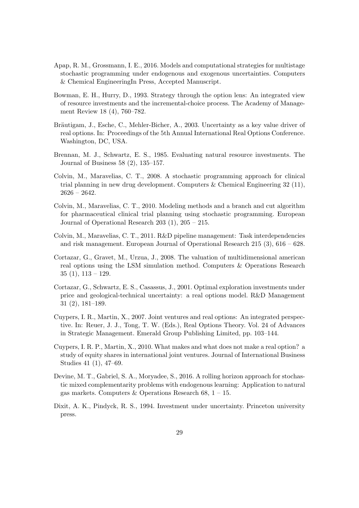- <span id="page-28-4"></span>Apap, R. M., Grossmann, I. E., 2016. Models and computational strategies for multistage stochastic programming under endogenous and exogenous uncertainties. Computers & Chemical EngineeringIn Press, Accepted Manuscript.
- <span id="page-28-5"></span>Bowman, E. H., Hurry, D., 1993. Strategy through the option lens: An integrated view of resource investments and the incremental-choice process. The Academy of Management Review 18 (4), 760–782.
- <span id="page-28-7"></span>Bräutigam, J., Esche, C., Mehler-Bicher, A., 2003. Uncertainty as a key value driver of real options. In: Proceedings of the 5th Annual International Real Options Conference. Washington, DC, USA.
- <span id="page-28-10"></span>Brennan, M. J., Schwartz, E. S., 1985. Evaluating natural resource investments. The Journal of Business 58 (2), 135–157.
- <span id="page-28-1"></span>Colvin, M., Maravelias, C. T., 2008. A stochastic programming approach for clinical trial planning in new drug development. Computers & Chemical Engineering  $32 \ (11)$ ,  $2626 - 2642.$
- <span id="page-28-2"></span>Colvin, M., Maravelias, C. T., 2010. Modeling methods and a branch and cut algorithm for pharmaceutical clinical trial planning using stochastic programming. European Journal of Operational Research 203 (1), 205 – 215.
- <span id="page-28-3"></span>Colvin, M., Maravelias, C. T., 2011. R&D pipeline management: Task interdependencies and risk management. European Journal of Operational Research 215 (3), 616 – 628.
- <span id="page-28-11"></span>Cortazar, G., Gravet, M., Urzua, J., 2008. The valuation of multidimensional american real options using the LSM simulation method. Computers & Operations Research  $35(1), 113-129.$
- <span id="page-28-12"></span>Cortazar, G., Schwartz, E. S., Casassus, J., 2001. Optimal exploration investments under price and geological-technical uncertainty: a real options model. R&D Management 31 (2), 181–189.
- <span id="page-28-8"></span>Cuypers, I. R., Martin, X., 2007. Joint ventures and real options: An integrated perspective. In: Reuer, J. J., Tong, T. W. (Eds.), Real Options Theory. Vol. 24 of Advances in Strategic Management. Emerald Group Publishing Limited, pp. 103–144.
- <span id="page-28-9"></span>Cuypers, I. R. P., Martin, X., 2010. What makes and what does not make a real option? a study of equity shares in international joint ventures. Journal of International Business Studies 41 (1), 47–69.
- <span id="page-28-0"></span>Devine, M. T., Gabriel, S. A., Moryadee, S., 2016. A rolling horizon approach for stochastic mixed complementarity problems with endogenous learning: Application to natural gas markets. Computers & Operations Research 68,  $1 - 15$ .
- <span id="page-28-6"></span>Dixit, A. K., Pindyck, R. S., 1994. Investment under uncertainty. Princeton university press.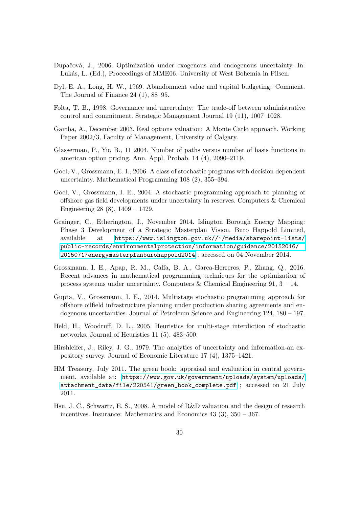- <span id="page-29-5"></span>Dupačová, J., 2006. Optimization under exogenous and endogenous uncertainty. In: Lukás, L. (Ed.), Proceedings of MME06. University of West Bohemia in Pilsen.
- <span id="page-29-9"></span>Dyl, E. A., Long, H. W., 1969. Abandonment value and capital budgeting: Comment. The Journal of Finance 24 (1), 88–95.
- <span id="page-29-8"></span>Folta, T. B., 1998. Governance and uncertainty: The trade-off between administrative control and commitment. Strategic Management Journal 19 (11), 1007–1028.
- <span id="page-29-11"></span>Gamba, A., December 2003. Real options valuation: A Monte Carlo approach. Working Paper 2002/3, Faculty of Management, University of Calgary.
- <span id="page-29-10"></span>Glasserman, P., Yu, B., 11 2004. Number of paths versus number of basis functions in american option pricing. Ann. Appl. Probab. 14 (4), 2090–2119.
- <span id="page-29-2"></span>Goel, V., Grossmann, E. I., 2006. A class of stochastic programs with decision dependent uncertainty. Mathematical Programming 108 (2), 355–394.
- <span id="page-29-1"></span>Goel, V., Grossmann, I. E., 2004. A stochastic programming approach to planning of offshore gas field developments under uncertainty in reserves. Computers & Chemical Engineering 28 (8), 1409 – 1429.
- <span id="page-29-12"></span>Grainger, C., Etherington, J., November 2014. Islington Borough Energy Mapping: Phase 3 Development of a Strategic Masterplan Vision. Buro Happold Limited, available at [https://www.islington.gov.uk//~/media/sharepoint-lists/](https://www.islington.gov.uk//~/media/sharepoint-lists/public-records/environmentalprotection/information/guidance/20152016/20150717energymasterplanburohappold2014) [public-records/environmentalprotection/information/guidance/20152016/](https://www.islington.gov.uk//~/media/sharepoint-lists/public-records/environmentalprotection/information/guidance/20152016/20150717energymasterplanburohappold2014) [20150717energymasterplanburohappold2014](https://www.islington.gov.uk//~/media/sharepoint-lists/public-records/environmentalprotection/information/guidance/20152016/20150717energymasterplanburohappold2014) ; accessed on 04 November 2014.
- <span id="page-29-6"></span>Grossmann, I. E., Apap, R. M., Calfa, B. A., Garca-Herreros, P., Zhang, Q., 2016. Recent advances in mathematical programming techniques for the optimization of process systems under uncertainty. Computers & Chemical Engineering 91,  $3 - 14$ .
- <span id="page-29-4"></span>Gupta, V., Grossmann, I. E., 2014. Multistage stochastic programming approach for offshore oilfield infrastructure planning under production sharing agreements and endogenous uncertainties. Journal of Petroleum Science and Engineering 124, 180 – 197.
- <span id="page-29-3"></span>Held, H., Woodruff, D. L., 2005. Heuristics for multi-stage interdiction of stochastic networks. Journal of Heuristics 11 (5), 483–500.
- <span id="page-29-7"></span>Hirshleifer, J., Riley, J. G., 1979. The analytics of uncertainty and information-an expository survey. Journal of Economic Literature 17 (4), 1375–1421.
- <span id="page-29-13"></span>HM Treasury, July 2011. The green book: appraisal and evaluation in central government, available at: [https://www.gov.uk/government/uploads/system/uploads/](https://www.gov.uk/government/uploads/system/uploads/attachment_data/file/220541/green_book_complete.pdf) [attachment\\_data/file/220541/green\\_book\\_complete.pdf](https://www.gov.uk/government/uploads/system/uploads/attachment_data/file/220541/green_book_complete.pdf) ; accessed on 21 July 2011.
- <span id="page-29-0"></span>Hsu, J. C., Schwartz, E. S., 2008. A model of R&D valuation and the design of research incentives. Insurance: Mathematics and Economics 43 (3), 350 – 367.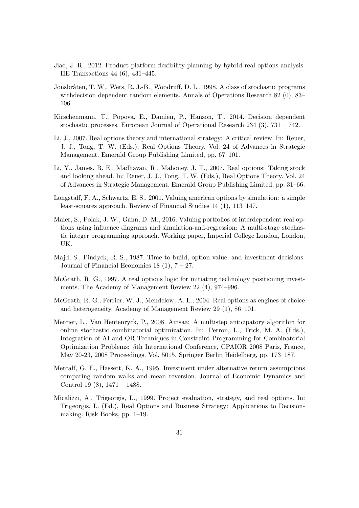- <span id="page-30-10"></span>Jiao, J. R., 2012. Product platform flexibility planning by hybrid real options analysis. IIE Transactions 44 (6), 431–445.
- <span id="page-30-3"></span>Jonsbråten, T. W., Wets, R. J.-B., Woodruff, D. L., 1998. A class of stochastic programs withdecision dependent random elements. Annals of Operations Research 82 (0), 83– 106.
- <span id="page-30-4"></span>Kirschenmann, T., Popova, E., Damien, P., Hanson, T., 2014. Decision dependent stochastic processes. European Journal of Operational Research  $234$  (3),  $731 - 742$ .
- <span id="page-30-6"></span>Li, J., 2007. Real options theory and international strategy: A critical review. In: Reuer, J. J., Tong, T. W. (Eds.), Real Options Theory. Vol. 24 of Advances in Strategic Management. Emerald Group Publishing Limited, pp. 67–101.
- <span id="page-30-0"></span>Li, Y., James, B. E., Madhavan, R., Mahoney, J. T., 2007. Real options: Taking stock and looking ahead. In: Reuer, J. J., Tong, T. W. (Eds.), Real Options Theory. Vol. 24 of Advances in Strategic Management. Emerald Group Publishing Limited, pp. 31–66.
- <span id="page-30-2"></span>Longstaff, F. A., Schwartz, E. S., 2001. Valuing american options by simulation: a simple least-squares approach. Review of Financial Studies 14 (1), 113–147.
- <span id="page-30-1"></span>Maier, S., Polak, J. W., Gann, D. M., 2016. Valuing portfolios of interdependent real options using influence diagrams and simulation-and-regression: A multi-stage stochastic integer programming approach. Working paper, Imperial College London, London, UK.
- <span id="page-30-11"></span>Majd, S., Pindyck, R. S., 1987. Time to build, option value, and investment decisions. Journal of Financial Economics 18  $(1)$ ,  $7 - 27$ .
- <span id="page-30-7"></span>McGrath, R. G., 1997. A real options logic for initiating technology positioning investments. The Academy of Management Review 22 (4), 974–996.
- <span id="page-30-8"></span>McGrath, R. G., Ferrier, W. J., Mendelow, A. L., 2004. Real options as engines of choice and heterogeneity. Academy of Management Review 29 (1), 86–101.
- <span id="page-30-5"></span>Mercier, L., Van Hentenryck, P., 2008. Amsaa: A multistep anticipatory algorithm for online stochastic combinatorial optimization. In: Perron, L., Trick, M. A. (Eds.), Integration of AI and OR Techniques in Constraint Programming for Combinatorial Optimization Problems: 5th International Conference, CPAIOR 2008 Paris, France, May 20-23, 2008 Proceedings. Vol. 5015. Springer Berlin Heidelberg, pp. 173–187.
- <span id="page-30-12"></span>Metcalf, G. E., Hassett, K. A., 1995. Investment under alternative return assumptions comparing random walks and mean reversion. Journal of Economic Dynamics and Control 19 (8), 1471 – 1488.
- <span id="page-30-9"></span>Micalizzi, A., Trigeorgis, L., 1999. Project evaluation, strategy, and real options. In: Trigeorgis, L. (Ed.), Real Options and Business Strategy: Applications to Decisionmaking. Risk Books, pp. 1–19.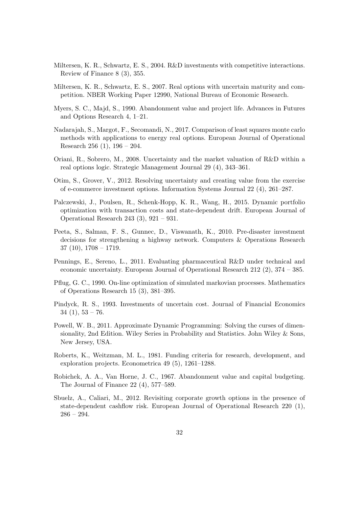- <span id="page-31-1"></span>Miltersen, K. R., Schwartz, E. S., 2004. R&D investments with competitive interactions. Review of Finance 8 (3), 355.
- <span id="page-31-2"></span>Miltersen, K. R., Schwartz, E. S., 2007. Real options with uncertain maturity and competition. NBER Working Paper 12990, National Bureau of Economic Research.
- <span id="page-31-12"></span>Myers, S. C., Majd, S., 1990. Abandonment value and project life. Advances in Futures and Options Research 4, 1–21.
- <span id="page-31-14"></span>Nadarajah, S., Margot, F., Secomandi, N., 2017. Comparison of least squares monte carlo methods with applications to energy real options. European Journal of Operational Research 256 (1), 196 – 204.
- <span id="page-31-5"></span>Oriani, R., Sobrero, M., 2008. Uncertainty and the market valuation of R&D within a real options logic. Strategic Management Journal 29 (4), 343–361.
- <span id="page-31-0"></span>Otim, S., Grover, V., 2012. Resolving uncertainty and creating value from the exercise of e-commerce investment options. Information Systems Journal 22 (4), 261–287.
- <span id="page-31-10"></span>Palczewski, J., Poulsen, R., Schenk-Hopp, K. R., Wang, H., 2015. Dynamic portfolio optimization with transaction costs and state-dependent drift. European Journal of Operational Research 243 (3), 921 – 931.
- <span id="page-31-4"></span>Peeta, S., Salman, F. S., Gunnec, D., Viswanath, K., 2010. Pre-disaster investment decisions for strengthening a highway network. Computers & Operations Research 37 (10), 1708 – 1719.
- <span id="page-31-8"></span>Pennings, E., Sereno, L., 2011. Evaluating pharmaceutical R&D under technical and economic uncertainty. European Journal of Operational Research 212 (2), 374 – 385.
- <span id="page-31-3"></span>Pflug, G. C., 1990. On-line optimization of simulated markovian processes. Mathematics of Operations Research 15 (3), 381–395.
- <span id="page-31-6"></span>Pindyck, R. S., 1993. Investments of uncertain cost. Journal of Financial Economics  $34(1), 53-76.$
- <span id="page-31-13"></span>Powell, W. B., 2011. Approximate Dynamic Programming: Solving the curses of dimensionality, 2nd Edition. Wiley Series in Probability and Statistics. John Wiley & Sons, New Jersey, USA.
- <span id="page-31-7"></span>Roberts, K., Weitzman, M. L., 1981. Funding criteria for research, development, and exploration projects. Econometrica 49 (5), 1261–1288.
- <span id="page-31-11"></span>Robichek, A. A., Van Horne, J. C., 1967. Abandonment value and capital budgeting. The Journal of Finance 22 (4), 577–589.
- <span id="page-31-9"></span>Sbuelz, A., Caliari, M., 2012. Revisiting corporate growth options in the presence of state-dependent cashflow risk. European Journal of Operational Research 220 (1), 286 – 294.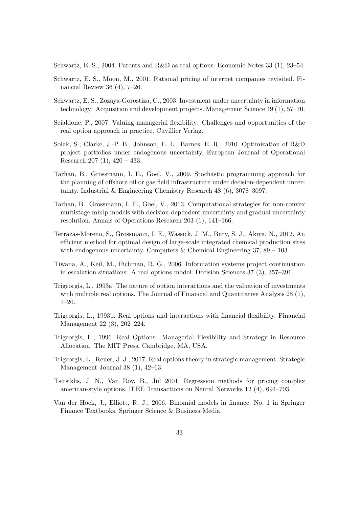<span id="page-32-2"></span>Schwartz, E. S., 2004. Patents and R&D as real options. Economic Notes 33 (1), 23–54.

- <span id="page-32-14"></span>Schwartz, E. S., Moon, M., 2001. Rational pricing of internet companies revisited. Financial Review 36 (4), 7–26.
- <span id="page-32-9"></span>Schwartz, E. S., Zozaya-Gorostiza, C., 2003. Investment under uncertainty in information technology: Acquisition and development projects. Management Science 49 (1), 57–70.
- <span id="page-32-8"></span>Scialdone, P., 2007. Valuing managerial flexibility: Challenges and opportunities of the real option approach in practice. Cuvillier Verlag.
- <span id="page-32-5"></span>Solak, S., Clarke, J.-P. B., Johnson, E. L., Barnes, E. R., 2010. Optimization of R&D project portfolios under endogenous uncertainty. European Journal of Operational Research 207 (1), 420 – 433.
- <span id="page-32-3"></span>Tarhan, B., Grossmann, I. E., Goel, V., 2009. Stochastic programming approach for the planning of offshore oil or gas field infrastructure under decision-dependent uncertainty. Industrial & Engineering Chemistry Research 48 (6), 3078–3097.
- <span id="page-32-6"></span>Tarhan, B., Grossmann, I. E., Goel, V., 2013. Computational strategies for non-convex multistage minlp models with decision-dependent uncertainty and gradual uncertainty resolution. Annals of Operations Research 203 (1), 141–166.
- <span id="page-32-4"></span>Terrazas-Moreno, S., Grossmann, I. E., Wassick, J. M., Bury, S. J., Akiya, N., 2012. An efficient method for optimal design of large-scale integrated chemical production sites with endogenous uncertainty. Computers & Chemical Engineering  $37, 89 - 103$ .
- <span id="page-32-0"></span>Tiwana, A., Keil, M., Fichman, R. G., 2006. Information systems project continuation in escalation situations: A real options model. Decision Sciences 37 (3), 357–391.
- <span id="page-32-12"></span>Trigeorgis, L., 1993a. The nature of option interactions and the valuation of investments with multiple real options. The Journal of Financial and Quantitative Analysis 28 (1), 1–20.
- <span id="page-32-10"></span>Trigeorgis, L., 1993b. Real options and interactions with financial flexibility. Financial Management 22 (3), 202–224.
- <span id="page-32-11"></span>Trigeorgis, L., 1996. Real Options: Managerial Flexibility and Strategy in Resource Allocation. The MIT Press, Cambridge, MA, USA.
- <span id="page-32-1"></span>Trigeorgis, L., Reuer, J. J., 2017. Real options theory in strategic management. Strategic Management Journal 38 (1), 42–63.
- <span id="page-32-13"></span>Tsitsiklis, J. N., Van Roy, B., Jul 2001. Regression methods for pricing complex american-style options. IEEE Transactions on Neural Networks 12 (4), 694–703.
- <span id="page-32-7"></span>Van der Hoek, J., Elliott, R. J., 2006. Binomial models in finance. No. 1 in Springer Finance Textbooks. Springer Science & Business Media.